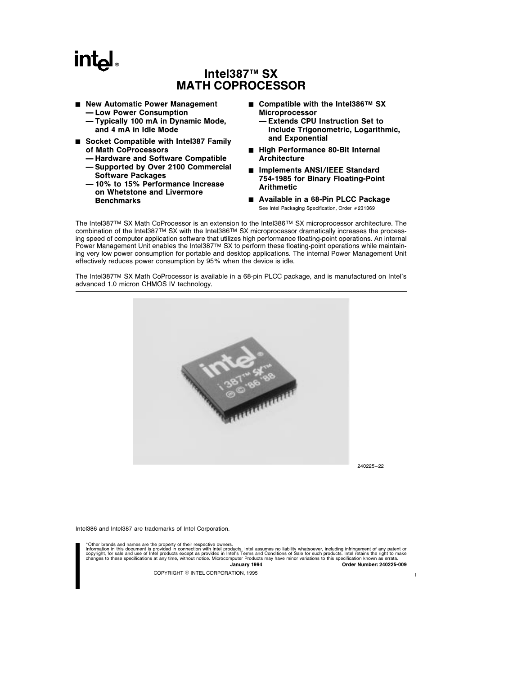# **intal**

# Intel387<sup>™</sup> SX MATH COPROCESSOR

- New Automatic Power Management
	- Ð Low Power Consumption
	- Ð Typically 100 mA in Dynamic Mode, and 4 mA in Idle Mode
- Socket Compatible with Intel387 Family of Math CoProcessors
	- $-$  Hardware and Software Compatible - Supported by Over 2100 Commercial
		- Software Packages
	- Ð 10% to 15% Performance Increase on Whetstone and Livermore **Benchmarks**
- Compatible with the Intel386<sup>TM</sup> SX Microprocessor
	- Ð Extends CPU Instruction Set to Include Trigonometric, Logarithmic, and Exponential
- High Performance 80-Bit Internal **Architecture**
- Implements ANSI/IEEE Standard 754-1985 for Binary Floating-Point Arithmetic
- Available in a 68-Pin PLCC Package See Intel Packaging Specification, Order #231369

The Intel387TM SX Math CoProcessor is an extension to the Intel386TM SX microprocessor architecture. The combination of the Intel387TM SX with the Intel386TM SX microprocessor dramatically increases the processing speed of computer application software that utilizes high performance floating-point operations. An internal Power Management Unit enables the Intel387TM SX to perform these floating-point operations while maintaining very low power consumption for portable and desktop applications. The internal Power Management Unit effectively reduces power consumption by 95% when the device is idle.

The Intel387TM SX Math CoProcessor is available in a 68-pin PLCC package, and is manufactured on Intel's advanced 1.0 micron CHMOS IV technology.



240225 –22

1

Intel386 and Intel387 are trademarks of Intel Corporation.

\*Other brands and names are the property of their respective owners. Information in this document is provided in connection with Intel products. Intel assumes no liability whatsoever, including infringement of any patent or<br>copyright, for sale and use of Intel products except as provided in January 1994 Order Number: 240225-009

COPYRIGHT © INTEL CORPORATION, 1995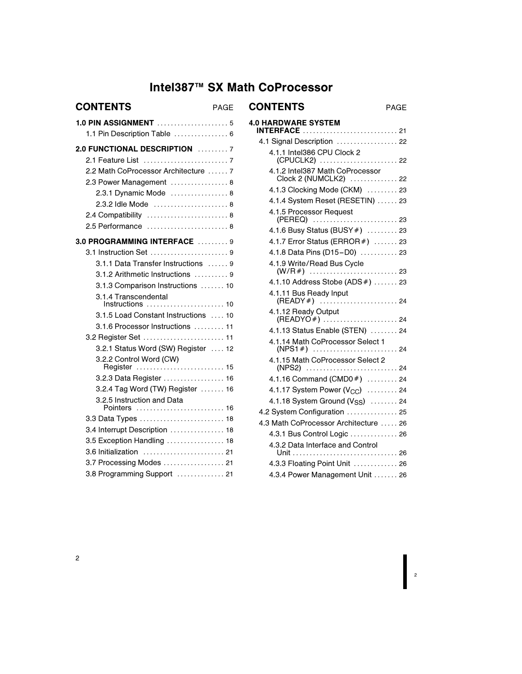# Intel387™ SX Math CoProcessor

| <b>CONTENTS</b><br>PAGE                    |  |
|--------------------------------------------|--|
|                                            |  |
| 1.1 Pin Description Table  6               |  |
| 2.0 FUNCTIONAL DESCRIPTION 7               |  |
|                                            |  |
| 2.2 Math CoProcessor Architecture  7       |  |
| 2.3 Power Management  8                    |  |
| 2.3.1 Dynamic Mode  8                      |  |
| 2.3.2 Idle Mode  8                         |  |
| 2.4 Compatibility  8                       |  |
| 2.5 Performance                            |  |
| 3.0 PROGRAMMING INTERFACE  9               |  |
| 3.1 Instruction Set 9                      |  |
| 3.1.1 Data Transfer Instructions  9        |  |
| 3.1.2 Arithmetic Instructions  9           |  |
| 3.1.3 Comparison Instructions  10          |  |
| 3.1.4 Transcendental<br>Instructions  10   |  |
| 3.1.5 Load Constant Instructions  10       |  |
| 3.1.6 Processor Instructions  11           |  |
| 3.2 Register Set  11                       |  |
| 3.2.1 Status Word (SW) Register  12        |  |
| 3.2.2 Control Word (CW)<br>Register  15    |  |
| 3.2.3 Data Register  16                    |  |
| 3.2.4 Tag Word (TW) Register  16           |  |
| 3.2.5 Instruction and Data<br>Pointers  16 |  |
| 3.3 Data Types  18                         |  |
| 3.4 Interrupt Description  18              |  |
| 3.5 Exception Handling  18                 |  |
| 3.6 Initialization  21                     |  |
| 3.7 Processing Modes  21                   |  |
| 3.8 Programming Support  21                |  |

| PAGE               | <b>CONTENTS</b><br>PAGE                                         |
|--------------------|-----------------------------------------------------------------|
| . 5<br>. 6         | <b>4.0 HARDWARE SYSTEM</b><br><b>INTERFACE</b> 21               |
|                    | 4.1 Signal Description  22                                      |
| . 7<br>. 7         | 4.1.1 Intel386 CPU Clock 2<br>(CPUCLK2)  22                     |
| . 7<br>. 8         | 4.1.2 Intel387 Math CoProcessor<br>Clock 2 (NUMCLK2)  22        |
| . 8                | 4.1.3 Clocking Mode (CKM)  23                                   |
| . 8                | 4.1.4 System Reset (RESETIN)  23                                |
| . 8                | 4.1.5 Processor Request                                         |
| . 8                | 4.1.6 Busy Status (BUSY #)  23                                  |
| . 9                | 4.1.7 Error Status (ERROR #)  23                                |
| . 9                | 4.1.8 Data Pins (D15-D0)  23                                    |
| . 9                | 4.1.9 Write/Read Bus Cycle                                      |
| . 9                | 4.1.10 Address Stobe (ADS #)  23                                |
| . 10<br>. 10       | 4.1.11 Bus Ready Input                                          |
| . 10               | 4.1.12 Ready Output                                             |
| . 11               | 4.1.13 Status Enable (STEN)  24                                 |
| . 11<br>$\cdot$ 12 | 4.1.14 Math CoProcessor Select 1                                |
| . 15               | 4.1.15 Math CoProcessor Select 2                                |
| $\ldots \ldots$ 16 | 4.1.16 Command (CMD0#)  24                                      |
| $\ldots \ldots$ 16 | 4.1.17 System Power $(V_{CC})$ 24                               |
| . 16               | 4.1.18 System Ground (V <sub>SS</sub> )  24                     |
| . 18               | 4.2 System Configuration  25                                    |
| . 18               | 4.3 Math CoProcessor Architecture  26                           |
| . 18               | 4.3.1 Bus Control Logic  26<br>4.3.2 Data Interface and Control |
| $\cdots$ 21        |                                                                 |
| . 21               | 4.3.3 Floating Point Unit  26                                   |
| . 21               | 4.3.4 Power Management Unit  26                                 |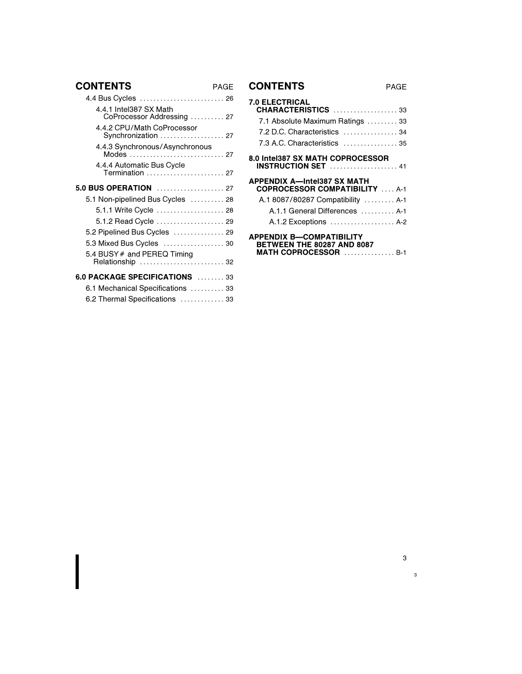# **CONTENTS**

| 4.4.1 Intel387 SX Math<br>CoProcessor Addressing  27 |  |
|------------------------------------------------------|--|
| 4.4.2 CPU/Math CoProcessor<br>Synchronization  27    |  |
| 4.4.3 Synchronous/Asynchronous<br>Modes  27          |  |
| 4.4.4 Automatic Bus Cycle<br>Termination  27         |  |
| 5.0 BUS OPERATION  27                                |  |
| 5.1 Non-pipelined Bus Cycles  28                     |  |
|                                                      |  |
| 5.1.2 Read Cycle  29                                 |  |
| 5.2 Pipelined Bus Cycles  29                         |  |
| 5.3 Mixed Bus Cycles  30                             |  |
| 5.4 BUSY # and PEREQ Timing<br>Relationship  32      |  |
| 6.0 PACKAGE SPECIFICATIONS  33                       |  |
| 6.1 Mechanical Specifications  33                    |  |
| 6.2 Thermal Specifications  33                       |  |
|                                                      |  |

# PAGE **CONTENTS** PAGE

| <b>7.0 ELECTRICAL</b><br><b>CHARACTERISTICS</b> 33                                                           |
|--------------------------------------------------------------------------------------------------------------|
| 7.1 Absolute Maximum Ratings  33                                                                             |
| 7.2 D.C. Characteristics  34                                                                                 |
| 7.3 A.C. Characteristics  35                                                                                 |
| 8.0 Intel387 SX MATH COPROCESSOR<br><b>INSTRUCTION SET</b> 41                                                |
| <b>APPENDIX A-Intel387 SX MATH</b><br><b>COPROCESSOR COMPATIBILITY  A-1</b>                                  |
| A.1 8087/80287 Compatibility  A-1                                                                            |
| A.1.1 General Differences  A-1                                                                               |
| A.1.2 Exceptions  A-2                                                                                        |
| <b>APPENDIX B-COMPATIBILITY</b><br><b>BETWEEN THE 80287 AND 8087</b><br><b>MATH COPROCESSOR</b> $\ldots$ 8-1 |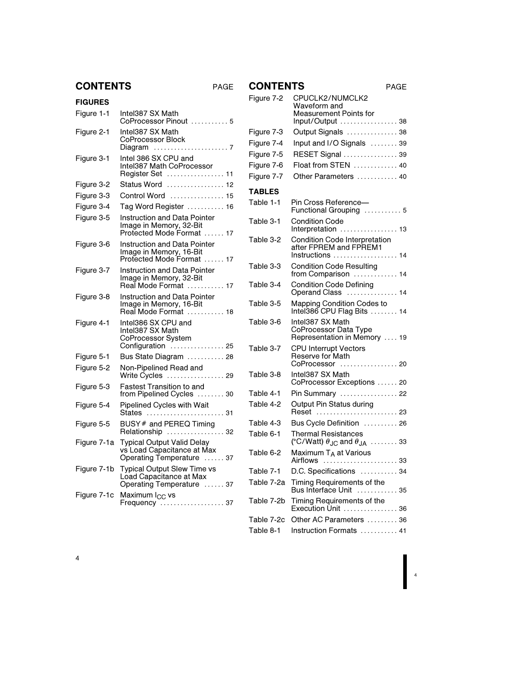| AG<br>. . |
|-----------|
|           |

| <b>CONTENTS</b><br>PAGE |
|-------------------------|
|-------------------------|

| <b>CONTENTS</b> |                                                                                              | PAGE | <b>CONTEI</b>                          |
|-----------------|----------------------------------------------------------------------------------------------|------|----------------------------------------|
| <b>FIGURES</b>  |                                                                                              |      | Figure 7-2                             |
| Figure 1-1      | Intel387 SX Math<br>CoProcessor Pinout  5                                                    |      |                                        |
| Figure 2-1      | Intel387 SX Math<br>CoProcessor Block                                                        |      | Figure 7-3<br>Figure 7-4<br>Figure 7-5 |
| Figure 3-1      | Intel 386 SX CPU and<br>Intel387 Math CoProcessor<br>Register Set  11                        |      | Figure 7-6<br>Figure 7-7               |
| Figure 3-2      | Status Word  12                                                                              |      |                                        |
| Figure 3-3      | Control Word  15                                                                             |      | <b>TABLES</b>                          |
| Figure 3-4      | Tag Word Register  16                                                                        |      | Table 1-1                              |
| Figure 3-5      | Instruction and Data Pointer<br>Image in Memory, 32-Bit<br>Protected Mode Format  17         |      | Table 3-1                              |
| Figure 3-6      | Instruction and Data Pointer<br>Image in Memory, 16-Bit                                      |      | Table 3-2                              |
| Figure 3-7      | Protected Mode Format  17<br><b>Instruction and Data Pointer</b>                             |      | Table 3-3                              |
|                 | Image in Memory, 32-Bit<br>Real Mode Format  17                                              |      | Table 3-4                              |
| Figure 3-8      | Instruction and Data Pointer<br>Image in Memory, 16-Bit<br>Real Mode Format  18              |      | Table 3-5                              |
| Figure 4-1      | Intel386 SX CPU and<br>Intel387 SX Math<br>CoProcessor System<br>Configuration  25           |      | Table 3-6<br>Table 3-7                 |
| Figure 5-1      | Bus State Diagram  28                                                                        |      |                                        |
| Figure 5-2      | Non-Pipelined Read and<br>Write Cycles  29                                                   |      | Table 3-8                              |
| Figure 5-3      | <b>Fastest Transition to and</b><br>from Pipelined Cycles  30                                |      | Table 4-1                              |
| Figure 5-4      | Pipelined Cycles with Wait<br>States<br>.                                                    | . 31 | Table 4-2                              |
| Figure 5-5      | BUSY # and PEREQ Timing<br>Relationship  32                                                  |      | Table 4-3<br>Table 6-1                 |
| Figure 7-1a     | <b>Typical Output Valid Delay</b><br>vs Load Capacitance at Max<br>Operating Temperature  37 |      | Table 6-2                              |
| Figure 7-1b     | <b>Typical Output Slew Time vs</b>                                                           |      | Table 7-1                              |
|                 | Load Capacitance at Max<br>Operating Temperature  37                                         |      | Table 7-2a                             |
| Figure 7-1c     | Maximum I <sub>CC</sub> vs<br>Frequency  37                                                  |      | Table 7-2b                             |
|                 |                                                                                              |      |                                        |

| Figure 7-2    | CPUCLK2/NUMCLK2<br>Waveform and<br>Measurement Points for                                |
|---------------|------------------------------------------------------------------------------------------|
|               | Input/Output  38                                                                         |
| Figure 7-3    | Output Signals  38                                                                       |
| Figure 7-4    | Input and I/O Signals  39                                                                |
| Figure 7-5    | RESET Signal  39                                                                         |
| Figure 7-6    | Float from STEN  40                                                                      |
| Figure 7-7    | Other Parameters  40                                                                     |
| <b>TABLES</b> |                                                                                          |
| Table 1-1     | Pin Cross Reference-<br>Functional Grouping  5                                           |
| Table 3-1     | Condition Code<br>Interpretation  13                                                     |
| Table 3-2     | Condition Code Interpretation<br>after FPREM and FPREM1<br>Instructions  14              |
| Table 3-3     | <b>Condition Code Resulting</b><br>from Comparison  14                                   |
| Table 3-4     | <b>Condition Code Defining</b><br>Operand Class<br>$\ldots$ 14                           |
| Table 3-5     | <b>Mapping Condition Codes to</b><br>Intel386 CPU Flag Bits  14                          |
| Table 3-6     | Intel387 SX Math<br>CoProcessor Data Type<br>Representation in Memory  19                |
| Table 3-7     | <b>CPU Interrupt Vectors</b><br>Reserve for Math<br>CoProcessor  20                      |
| Table 3-8     | Intel387 SX Math<br>CoProcessor Exceptions  20                                           |
| Table 4-1     | Pin Summary  22                                                                          |
| Table 4-2     | Output Pin Status during<br>Reset                                                        |
| Table 4-3     | Bus Cycle Definition  26                                                                 |
| Table 6-1     | <b>Thermal Resistances</b><br>(°C/Watt) $\theta_{\text{JC}}$ and $\theta_{\text{JA}}$ 33 |
| Table 6-2     | Maximum T <sub>A</sub> at Various                                                        |
| Table 7-1     | D.C. Specifications  34                                                                  |
| Table 7-2a    | Timing Requirements of the<br>Bus Interface Unit  35                                     |
| Table 7-2b    | Timing Requirements of the                                                               |
| Table 7-2c    | Other AC Parameters  36                                                                  |
| Table 8-1     | Instruction Formats  41                                                                  |
|               |                                                                                          |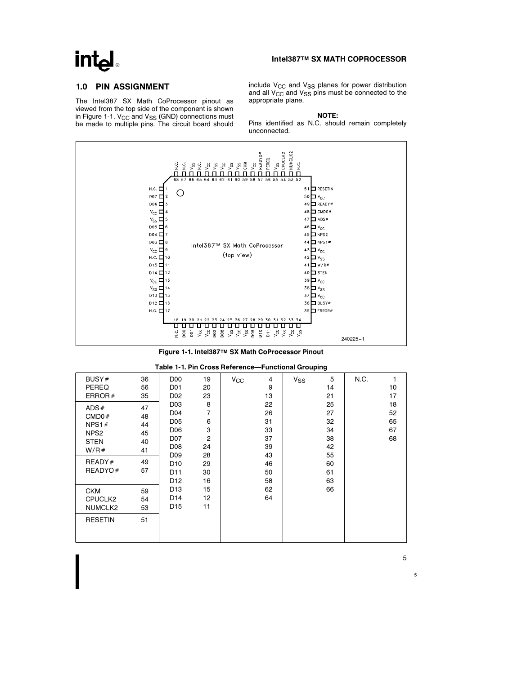# **intel**

### Intel387TM SX MATH COPROCESSOR

# 1.0 PIN ASSIGNMENT

The Intel387 SX Math CoProcessor pinout as viewed from the top side of the component is shown in Figure 1-1.  $V_{CC}$  and  $V_{SS}$  (GND) connections must be made to multiple pins. The circuit board should include  $V_{CC}$  and  $V_{SS}$  planes for power distribution and all  $V_{CC}$  and  $V_{SS}$  pins must be connected to the appropriate plane.

NOTE:

Pins identified as N.C. should remain completely unconnected.



Figure 1-1. Intel387TM SX Math CoProcessor Pinout

|  |  | Table 1-1. Pin Cross Reference-Functional Grouping |  |  |
|--|--|----------------------------------------------------|--|--|
|--|--|----------------------------------------------------|--|--|

| BUSY#            | 36 | D <sub>0</sub>   | 19             | $V_{\rm CC}$ | 4  | $V_{SS}$ | 5  | N.C. |    |
|------------------|----|------------------|----------------|--------------|----|----------|----|------|----|
| <b>PEREQ</b>     | 56 | D <sub>01</sub>  | 20             |              | 9  |          | 14 |      | 10 |
| ERROR $#$        | 35 | D <sub>02</sub>  | 23             |              | 13 |          | 21 |      | 17 |
| ADS#             | 47 | D <sub>03</sub>  | 8              |              | 22 |          | 25 |      | 18 |
| CMD0#            | 48 | D04              | 7              |              | 26 |          | 27 |      | 52 |
| NPS1 $#$         | 44 | D <sub>05</sub>  | 6              |              | 31 |          | 32 |      | 65 |
| NPS <sub>2</sub> | 45 | D <sub>06</sub>  | 3              |              | 33 |          | 34 |      | 67 |
| <b>STEN</b>      | 40 | D07              | $\overline{2}$ |              | 37 |          | 38 |      | 68 |
| W/R#             |    | D <sub>0</sub> 8 | 24             |              | 39 |          | 42 |      |    |
|                  | 41 | D <sub>09</sub>  | 28             |              | 43 |          | 55 |      |    |
| READV#           | 49 | D <sub>10</sub>  | 29             |              | 46 |          | 60 |      |    |
| READYO#          | 57 | D <sub>11</sub>  | 30             |              | 50 |          | 61 |      |    |
|                  |    | D <sub>12</sub>  | 16             |              | 58 |          | 63 |      |    |
| <b>CKM</b>       | 59 | D <sub>13</sub>  | 15             |              | 62 |          | 66 |      |    |
| CPUCLK2          | 54 | D14              | 12             |              | 64 |          |    |      |    |
| NUMCLK2          | 53 | D <sub>15</sub>  | 11             |              |    |          |    |      |    |
|                  |    |                  |                |              |    |          |    |      |    |
| <b>RESETIN</b>   | 51 |                  |                |              |    |          |    |      |    |
|                  |    |                  |                |              |    |          |    |      |    |
|                  |    |                  |                |              |    |          |    |      |    |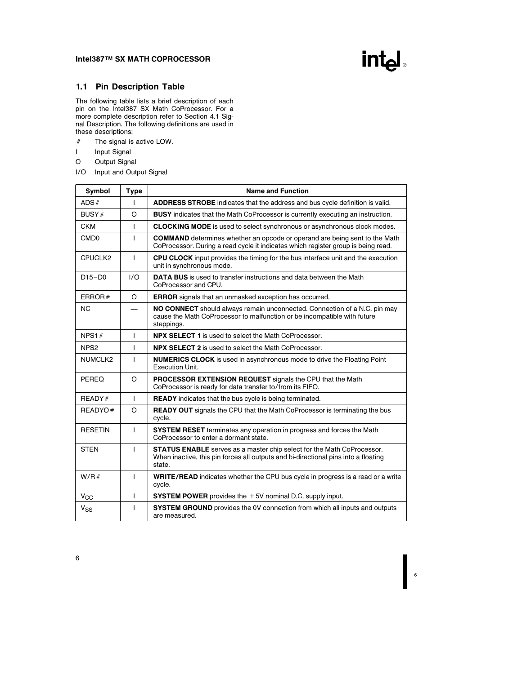# intel

6

# 1.1 Pin Description Table

The following table lists a brief description of each pin on the Intel387 SX Math CoProcessor. For a more complete description refer to Section 4.1 Signal Description. The following definitions are used in these descriptions:

- $#$  The signal is active LOW.
- I Input Signal
- O Output Signal
- I/O Input and Output Signal

| <b>Symbol</b>    | <b>Type</b>  | <b>Name and Function</b>                                                                                                                                                      |
|------------------|--------------|-------------------------------------------------------------------------------------------------------------------------------------------------------------------------------|
| ADS#             | T            | <b>ADDRESS STROBE</b> indicates that the address and bus cycle definition is valid.                                                                                           |
| BUSY#            | $\circ$      | BUSY indicates that the Math CoProcessor is currently executing an instruction.                                                                                               |
| <b>CKM</b>       | T            | <b>CLOCKING MODE</b> is used to select synchronous or asynchronous clock modes.                                                                                               |
| CM <sub>D0</sub> | T            | <b>COMMAND</b> determines whether an opcode or operand are being sent to the Math<br>CoProcessor. During a read cycle it indicates which register group is being read.        |
| CPUCLK2          | I            | <b>CPU CLOCK</b> input provides the timing for the bus interface unit and the execution<br>unit in synchronous mode.                                                          |
| $D15-D0$         | 1/O          | <b>DATA BUS</b> is used to transfer instructions and data between the Math<br>CoProcessor and CPU.                                                                            |
| ERROR $#$        | $\circ$      | <b>ERROR</b> signals that an unmasked exception has occurred.                                                                                                                 |
| <b>NC</b>        |              | NO CONNECT should always remain unconnected. Connection of a N.C. pin may<br>cause the Math CoProcessor to malfunction or be incompatible with future<br>steppings.           |
| NPS1#            | T            | <b>NPX SELECT 1</b> is used to select the Math CoProcessor.                                                                                                                   |
| NPS <sub>2</sub> | I            | <b>NPX SELECT 2</b> is used to select the Math CoProcessor.                                                                                                                   |
| NUMCLK2          | T            | <b>NUMERICS CLOCK</b> is used in asynchronous mode to drive the Floating Point<br><b>Execution Unit.</b>                                                                      |
| PEREQ            | $\circ$      | <b>PROCESSOR EXTENSION REQUEST</b> signals the CPU that the Math<br>CoProcessor is ready for data transfer to/from its FIFO.                                                  |
| READY#           | $\mathbf{I}$ | <b>READY</b> indicates that the bus cycle is being terminated.                                                                                                                |
| READYO#          | $\circ$      | <b>READY OUT</b> signals the CPU that the Math CoProcessor is terminating the bus<br>cycle.                                                                                   |
| <b>RESETIN</b>   | T            | <b>SYSTEM RESET</b> terminates any operation in progress and forces the Math<br>CoProcessor to enter a dormant state.                                                         |
| <b>STEN</b>      | T            | <b>STATUS ENABLE</b> serves as a master chip select for the Math CoProcessor.<br>When inactive, this pin forces all outputs and bi-directional pins into a floating<br>state. |
| W/R#             | I            | <b>WRITE/READ</b> indicates whether the CPU bus cycle in progress is a read or a write<br>cycle.                                                                              |
| $V_{\rm CC}$     | T            | <b>SYSTEM POWER</b> provides the $+5V$ nominal D.C. supply input.                                                                                                             |
| $V_{SS}$         | ı            | <b>SYSTEM GROUND</b> provides the 0V connection from which all inputs and outputs<br>are measured.                                                                            |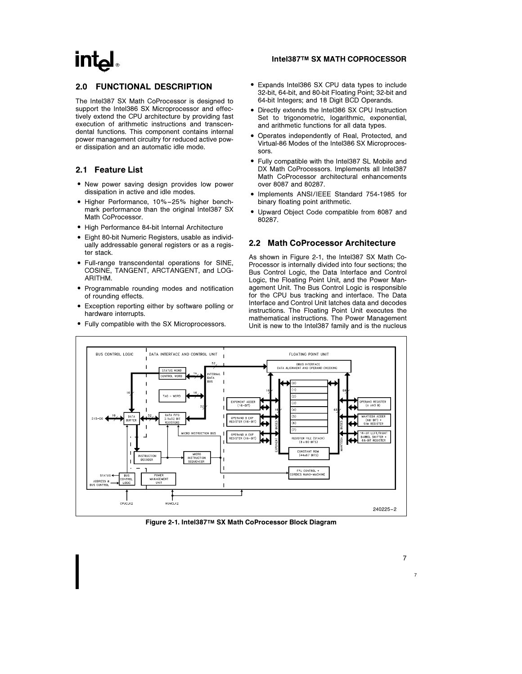# $\mathsf{Int}\mathsf{d}$

# 2.0 FUNCTIONAL DESCRIPTION

The Intel387 SX Math CoProcessor is designed to support the Intel386 SX Microprocessor and effectively extend the CPU architecture by providing fast execution of arithmetic instructions and transcendental functions. This component contains internal power management circuitry for reduced active power dissipation and an automatic idle mode.

# 2.1 Feature List

- New power saving design provides low power dissipation in active and idle modes.
- Higher Performance, 10%-25% higher benchmark performance than the original Intel387 SX Math CoProcessor.
- High Performance 84-bit Internal Architecture
- Eight 80-bit Numeric Registers, usable as individually addressable general registers or as a register stack.
- $\bullet$  Full-range transcendental operations for SINE, COSINE, TANGENT, ARCTANGENT, and LOG-ARITHM.
- Programmable rounding modes and notification of rounding effects.
- Exception reporting either by software polling or hardware interrupts.
- Fully compatible with the SX Microprocessors.

## Intel387TM SX MATH COPROCESSOR

- Expands Intel386 SX CPU data types to include 32-bit, 64-bit, and 80-bit Floating Point; 32-bit and 64-bit Integers; and 18 Digit BCD Operands.
- Directly extends the Intel386 SX CPU Instruction Set to trigonometric, logarithmic, exponential, and arithmetic functions for all data types.
- Operates independently of Real, Protected, and Virtual-86 Modes of the Intel386 SX Microprocessors.
- Fully compatible with the Intel387 SL Mobile and DX Math CoProcessors. Implements all Intel387 Math CoProcessor architectural enhancements over 8087 and 80287.
- Implements ANSI/IEEE Standard 754-1985 for binary floating point arithmetic.
- Upward Object Code compatible from 8087 and 80287.

# 2.2 Math CoProcessor Architecture

As shown in Figure 2-1, the Intel387 SX Math Co-Processor is internally divided into four sections; the Bus Control Logic, the Data Interface and Control Logic, the Floating Point Unit, and the Power Management Unit. The Bus Control Logic is responsible for the CPU bus tracking and interface. The Data Interface and Control Unit latches data and decodes instructions. The Floating Point Unit executes the mathematical instructions. The Power Management Unit is new to the Intel387 family and is the nucleus



Figure 2-1. Intel387TM SX Math CoProcessor Block Diagram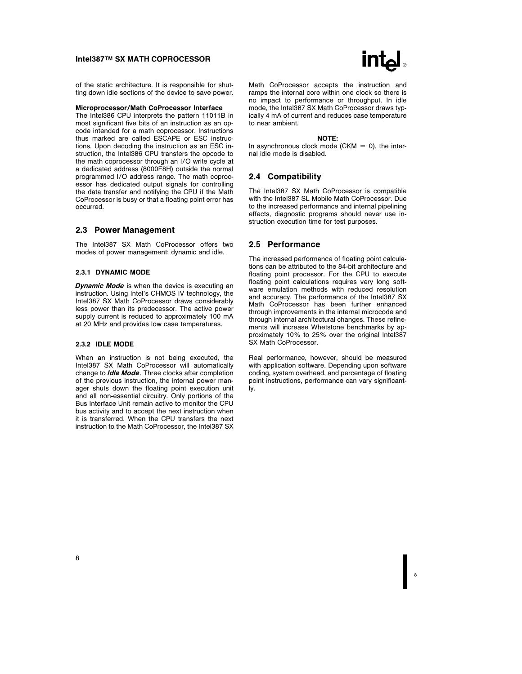of the static architecture. It is responsible for shutting down idle sections of the device to save power.

#### Microprocessor/Math CoProcessor Interface

The Intel386 CPU interprets the pattern 11011B in most significant five bits of an instruction as an opcode intended for a math coprocessor. Instructions thus marked are called ESCAPE or ESC instructions. Upon decoding the instruction as an ESC instruction, the Intel386 CPU transfers the opcode to the math coprocessor through an I/O write cycle at a dedicated address (8000F8H) outside the normal programmed I/O address range. The math coprocessor has dedicated output signals for controlling the data transfer and notifying the CPU if the Math CoProcessor is busy or that a floating point error has occurred.

#### 2.3 Power Management

The Intel387 SX Math CoProcessor offers two modes of power management; dynamic and idle.

#### 2.3.1 DYNAMIC MODE

**Dynamic Mode** is when the device is executing an instruction. Using Intel's CHMOS IV technology, the Intel387 SX Math CoProcessor draws considerably less power than its predecessor. The active power supply current is reduced to approximately 100 mA at 20 MHz and provides low case temperatures.

#### 2.3.2 IDLE MODE

When an instruction is not being executed, the Intel387 SX Math CoProcessor will automatically change to *Idle Mode*. Three clocks after completion of the previous instruction, the internal power manager shuts down the floating point execution unit and all non-essential circuitry. Only portions of the Bus Interface Unit remain active to monitor the CPU bus activity and to accept the next instruction when it is transferred. When the CPU transfers the next instruction to the Math CoProcessor, the Intel387 SX



Math CoProcessor accepts the instruction and ramps the internal core within one clock so there is no impact to performance or throughput. In idle mode, the Intel387 SX Math CoProcessor draws typically 4 mA of current and reduces case temperature to near ambient.

#### NOTE:

In asynchronous clock mode (CKM  $=$  0), the internal idle mode is disabled.

#### 2.4 Compatibility

The Intel387 SX Math CoProcessor is compatible with the Intel387 SL Mobile Math CoProcessor. Due to the increased performance and internal pipelining effects, diagnostic programs should never use instruction execution time for test purposes.

#### 2.5 Performance

The increased performance of floating point calculations can be attributed to the 84-bit architecture and floating point processor. For the CPU to execute floating point calculations requires very long software emulation methods with reduced resolution and accuracy. The performance of the Intel387 SX Math CoProcessor has been further enhanced through improvements in the internal microcode and through internal architectural changes. These refinements will increase Whetstone benchmarks by approximately 10% to 25% over the original Intel387 SX Math CoProcessor.

Real performance, however, should be measured with application software. Depending upon software coding, system overhead, and percentage of floating point instructions, performance can vary significantly.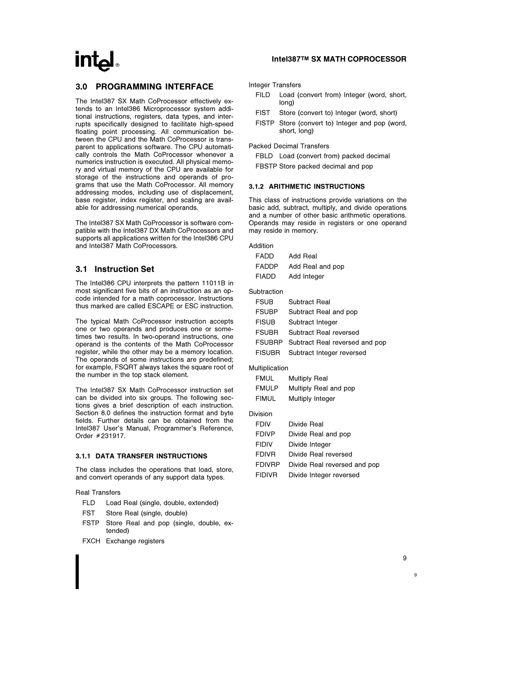## 3.0 PROGRAMMING INTERFACE

The Intel387 SX Math CoProcessor effectively extends to an Intel386 Microprocessor system additional instructions, registers, data types, and interrupts specifically designed to facilitate high-speed floating point processing. All communication between the CPU and the Math CoProcessor is transparent to applications software. The CPU automatically controls the Math CoProcessor whenever a numerics instruction is executed. All physical memory and virtual memory of the CPU are available for storage of the instructions and operands of programs that use the Math CoProcessor. All memory addressing modes, including use of displacement, base register, index register, and scaling are available for addressing numerical operands.

The Intel387 SX Math CoProcessor is software compatible with the Intel387 DX Math CoProcessors and supports all applications written for the Intel386 CPU and Intel387 Math CoProcessors.

# 3.1 Instruction Set

The Intel386 CPU interprets the pattern 11011B in most significant five bits of an instruction as an opcode intended for a math coprocessor. Instructions thus marked are called ESCAPE or ESC instruction.

The typical Math CoProcessor instruction accepts one or two operands and produces one or sometimes two results. In two-operand instructions, one operand is the contents of the Math CoProcessor register, while the other may be a memory location. The operands of some instructions are predefined; for example, FSQRT always takes the square root of the number in the top stack element.

The Intel387 SX Math CoProcessor instruction set can be divided into six groups. The following sections gives a brief description of each instruction. Section 8.0 defines the instruction format and byte fields. Further details can be obtained from the Intel387 User's Manual, Programmer's Reference, Order #231917.

#### 3.1.1 DATA TRANSFER INSTRUCTIONS

The class includes the operations that load, store, and convert operands of any support data types.

Real Transfers

- FLD Load Real (single, double, extended)
- FST Store Real (single, double)
- FSTP Store Real and pop (single, double, extended)
- FXCH Exchange registers

## Intel387TM SX MATH COPROCESSOR

Integer Transfers

- FILD Load (convert from) Integer (word, short, long)
- FIST Store (convert to) Integer (word, short)
- FISTP Store (convert to) Integer and pop (word, short, long)

Packed Decimal Transfers

- FBLD Load (convert from) packed decimal
- FBSTP Store packed decimal and pop

#### 3.1.2 ARITHMETIC INSTRUCTIONS

This class of instructions provide variations on the basic add, subtract, multiply, and divide operations and a number of other basic arithmetic operations. Operands may reside in registers or one operand may reside in memory.

| Addition       |                                |
|----------------|--------------------------------|
| FADD           | Add Real                       |
| FADDP          | Add Real and pop               |
| FIADD          | Add Integer                    |
| Subtraction    |                                |
| <b>FSUB</b>    | Subtract Real                  |
| <b>FSUBP</b>   | Subtract Real and pop          |
| <b>FISUB</b>   | Subtract Integer               |
| <b>FSUBR</b>   | Subtract Real reversed         |
| FSUBRP         | Subtract Real reversed and pop |
| <b>FISUBR</b>  | Subtract Integer reversed      |
| Multiplication |                                |
| FMUL           | <b>Multiply Real</b>           |
| <b>FMULP</b>   | Multiply Real and pop          |
| FIMUL          | Multiply Integer               |
| Division       |                                |
| <b>FDIV</b>    | Divide Real                    |
| <b>FDIVP</b>   | Divide Real and pop            |
| <b>FIDIV</b>   | Divide Integer                 |
| <b>FDIVR</b>   | Divide Real reversed           |
| <b>FDIVRP</b>  | Divide Real reversed and pop   |
| FIDIVR         | Divide Integer reversed        |
|                |                                |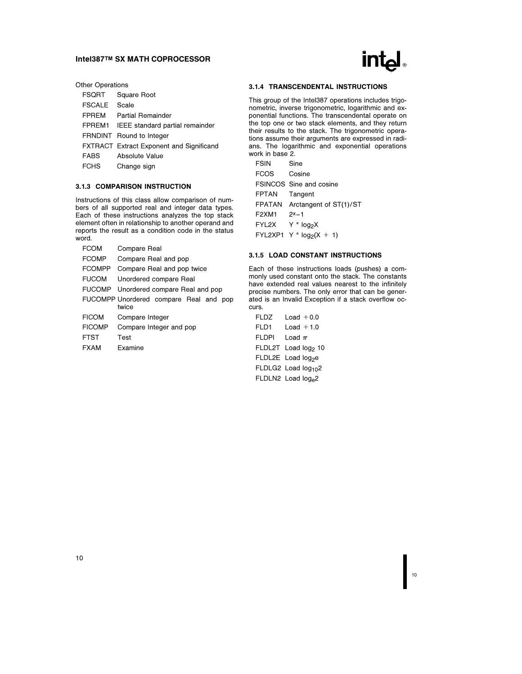| ® |
|---|
|---|

| <b>Other Operations</b> |
|-------------------------|
|                         |

| <b>FSORT</b>  | Square Root                                     |
|---------------|-------------------------------------------------|
| <b>FSCALE</b> | Scale                                           |
| <b>FPREM</b>  | Partial Remainder                               |
|               | FPREM1 IEEE standard partial remainder          |
|               | FRNDINT Round to Integer                        |
|               | <b>FXTRACT</b> Extract Exponent and Significand |
| <b>FABS</b>   | Absolute Value                                  |
| FCHS          | Change sign                                     |

#### 3.1.3 COMPARISON INSTRUCTION

Instructions of this class allow comparison of numbers of all supported real and integer data types. Each of these instructions analyzes the top stack element often in relationship to another operand and reports the result as a condition code in the status word.

| <b>FCOM</b>   | Compare Real                                    |  |  |  |
|---------------|-------------------------------------------------|--|--|--|
| <b>FCOMP</b>  | Compare Real and pop                            |  |  |  |
| <b>FCOMPP</b> | Compare Real and pop twice                      |  |  |  |
| <b>FUCOM</b>  | Unordered compare Real                          |  |  |  |
|               | FUCOMP Unordered compare Real and pop           |  |  |  |
|               | FUCOMPP Unordered compare Real and pop<br>twice |  |  |  |
| <b>FICOM</b>  | Compare Integer                                 |  |  |  |
| <b>FICOMP</b> | Compare Integer and pop                         |  |  |  |
| <b>FTST</b>   | Test                                            |  |  |  |
| <b>FXAM</b>   | Examine                                         |  |  |  |
|               |                                                 |  |  |  |

#### 3.1.4 TRANSCENDENTAL INSTRUCTIONS

This group of the Intel387 operations includes trigonometric, inverse trigonometric, logarithmic and exponential functions. The transcendental operate on the top one or two stack elements, and they return their results to the stack. The trigonometric operations assume their arguments are expressed in radians. The logarithmic and exponential operations work in base 2.

| <b>FSIN</b>                    | Sine                           |
|--------------------------------|--------------------------------|
| <b>FCOS</b>                    | Cosine                         |
|                                | <b>FSINCOS</b> Sine and cosine |
| <b>FPTAN</b>                   | Tangent                        |
|                                | FPATAN Arctangent of ST(1)/ST  |
| F <sub>2</sub> XM <sub>1</sub> | $2x-1$                         |
| FYL2X                          | X <sub>°</sub> N × Y *         |
|                                | $FYL2XP1 Y * log2(X + 1)$      |

#### 3.1.5 LOAD CONSTANT INSTRUCTIONS

Each of these instructions loads (pushes) a commonly used constant onto the stack. The constants have extended real values nearest to the infinitely precise numbers. The only error that can be generated is an Invalid Exception if a stack overflow occurs.

| FLDZ         | Load $+0.0$                     |
|--------------|---------------------------------|
| FLD1         | $Load + 1.0$                    |
| <b>FLDPI</b> | l oad $\pi$                     |
|              | FLDL2T Load log <sub>2</sub> 10 |
|              | FLDL2E Load log <sub>2</sub> e  |
|              | FLDLG2 Load log <sub>10</sub> 2 |
|              | FLDLN2 Load log <sub>e</sub> 2  |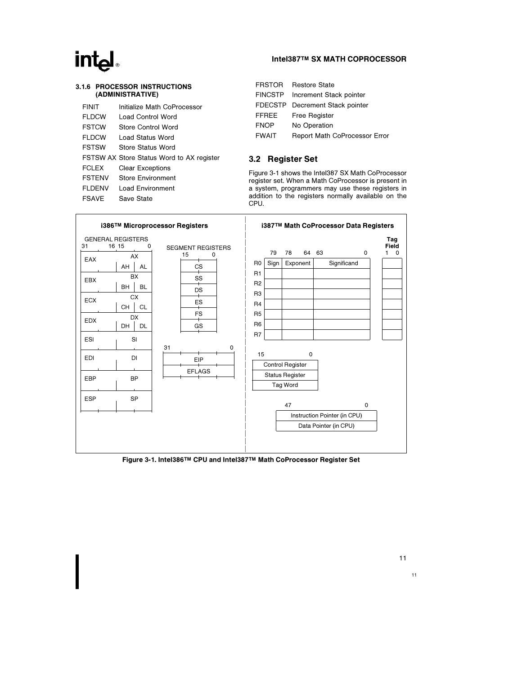# int<sub>e</sub>

### 3.1.6 PROCESSOR INSTRUCTIONS (ADMINISTRATIVE)

| FINIT         | Initialize Math CoProcessor               |
|---------------|-------------------------------------------|
| <b>FLDCW</b>  | Load Control Word                         |
| <b>FSTCW</b>  | Store Control Word                        |
| FI DCW        | Load Status Word                          |
| <b>FSTSW</b>  | Store Status Word                         |
|               | FSTSW AX Store Status Word to AX register |
| <b>FCLEX</b>  | <b>Clear Exceptions</b>                   |
| <b>FSTENV</b> | <b>Store Environment</b>                  |
| FI DENV       | Load Environment                          |
| FSAVF         | Save State                                |
|               |                                           |

# Intel387TM SX MATH COPROCESSOR

|              | FRSTOR Restore State                 |
|--------------|--------------------------------------|
|              | FINCSTP Increment Stack pointer      |
|              | FDECSTP Decrement Stack pointer      |
| <b>FFREE</b> | <b>Free Register</b>                 |
| <b>FNOP</b>  | No Operation                         |
| <b>FWAIT</b> | <b>Report Math CoProcessor Error</b> |

# 3.2 Register Set

Figure 3-1 shows the Intel387 SX Math CoProcessor register set. When a Math CoProcessor is present in a system, programmers may use these registers in addition to the registers normally available on the CPU.



Figure 3-1. Intel386TM CPU and Intel387TM Math CoProcessor Register Set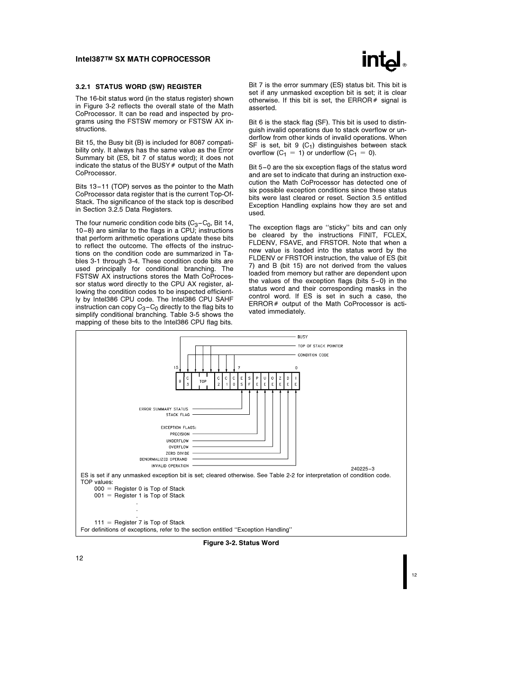

#### 3.2.1 STATUS WORD (SW) REGISTER

The 16-bit status word (in the status register) shown in Figure 3-2 reflects the overall state of the Math CoProcessor. It can be read and inspected by programs using the FSTSW memory or FSTSW AX instructions.

Bit 15, the Busy bit (B) is included for 8087 compatibility only. It always has the same value as the Error Summary bit (ES, bit 7 of status word); it does not indicate the status of the BUSY  $#$  output of the Math CoProcessor.

Bits 13-11 (TOP) serves as the pointer to the Math CoProcessor data register that is the current Top-Of-Stack. The significance of the stack top is described in Section 3.2.5 Data Registers.

The four numeric condition code bits  $(C_3 - C_0)$ , Bit 14, 10 –8) are similar to the flags in a CPU; instructions that perform arithmetic operations update these bits to reflect the outcome. The effects of the instructions on the condition code are summarized in Tables 3-1 through 3-4. These condition code bits are used principally for conditional branching. The FSTSW AX instructions stores the Math CoProcessor status word directly to the CPU AX register, allowing the condition codes to be inspected efficiently by Intel386 CPU code. The Intel386 CPU SAHF instruction can copy  $C_3 - C_0$  directly to the flag bits to simplify conditional branching. Table 3-5 shows the mapping of these bits to the Intel386 CPU flag bits.

Bit 7 is the error summary (ES) status bit. This bit is set if any unmasked exception bit is set; it is clear otherwise. If this bit is set, the ERROR  $#$  signal is asserted.

Bit 6 is the stack flag (SF). This bit is used to distinguish invalid operations due to stack overflow or underflow from other kinds of invalid operations. When SF is set, bit 9  $(C_1)$  distinguishes between stack overflow  $(C_1 = 1)$  or underflow  $(C_1 = 0)$ .

Bit 5-0 are the six exception flags of the status word and are set to indicate that during an instruction execution the Math CoProcessor has detected one of six possible exception conditions since these status bits were last cleared or reset. Section 3.5 entitled Exception Handling explains how they are set and used.

The exception flags are ''sticky'' bits and can only be cleared by the instructions FINIT, FCLEX, FLDENV, FSAVE, and FRSTOR. Note that when a new value is loaded into the status word by the FLDENV or FRSTOR instruction, the value of ES (bit 7) and B (bit 15) are not derived from the values loaded from memory but rather are dependent upon the values of the exception flags (bits 5-0) in the status word and their corresponding masks in the control word. If ES is set in such a case, the  $ERROR#$  output of the Math CoProcessor is activated immediately.



Figure 3-2. Status Word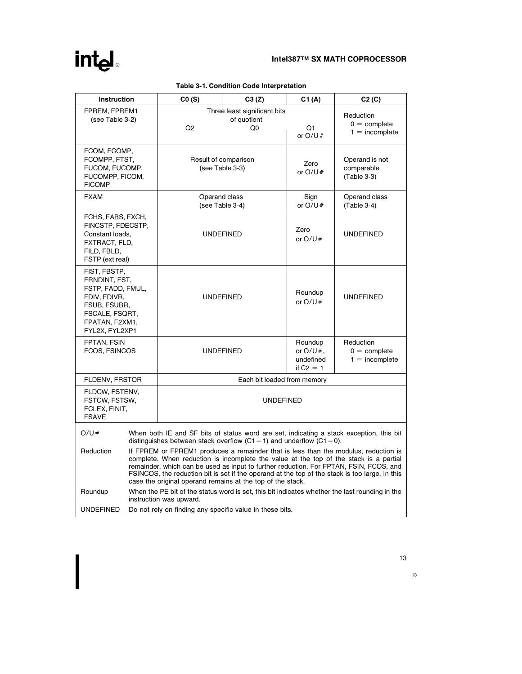# intel

| <b>Instruction</b>                                                                                                                       |                                                                                                                                                                                                                                                                                                                                                                                                                                        | CO(S)                                                                                                                                                                 | C3 (Z)                                            |                                                    | C2(C)                                                                                          |
|------------------------------------------------------------------------------------------------------------------------------------------|----------------------------------------------------------------------------------------------------------------------------------------------------------------------------------------------------------------------------------------------------------------------------------------------------------------------------------------------------------------------------------------------------------------------------------------|-----------------------------------------------------------------------------------------------------------------------------------------------------------------------|---------------------------------------------------|----------------------------------------------------|------------------------------------------------------------------------------------------------|
| FPREM, FPREM1<br>(see Table 3-2)                                                                                                         |                                                                                                                                                                                                                                                                                                                                                                                                                                        | Q <sub>2</sub>                                                                                                                                                        | Three least significant bits<br>of quotient<br>Q0 |                                                    | Reduction<br>$0 =$ complete<br>$1 = incomplete$                                                |
| <b>FICOMP</b>                                                                                                                            | FCOM, FCOMP,<br>FCOMPP, FTST,<br>FUCOM, FUCOMP,<br>FUCOMPP, FICOM,                                                                                                                                                                                                                                                                                                                                                                     |                                                                                                                                                                       | Result of comparison<br>(see Table 3-3)           |                                                    | Operand is not<br>comparable<br>(Table 3-3)                                                    |
| <b>FXAM</b>                                                                                                                              |                                                                                                                                                                                                                                                                                                                                                                                                                                        | Operand class                                                                                                                                                         | (see Table 3-4)                                   | Sign<br>or $O/U#$                                  | Operand class<br>(Table 3-4)                                                                   |
| FCHS, FABS, FXCH,<br>FINCSTP, FDECSTP,<br>Constant loads,<br>FXTRACT, FLD,<br>FILD, FBLD,<br>FSTP (ext real)                             |                                                                                                                                                                                                                                                                                                                                                                                                                                        | <b>UNDEFINED</b>                                                                                                                                                      |                                                   | Zero<br>or $O/U#$                                  | <b>UNDEFINED</b>                                                                               |
| FIST, FBSTP,<br>FRNDINT, FST,<br>FSTP, FADD, FMUL,<br>FDIV, FDIVR,<br>FSUB, FSUBR,<br>FSCALE, FSQRT,<br>FPATAN, F2XM1,<br>FYL2X, FYL2XP1 |                                                                                                                                                                                                                                                                                                                                                                                                                                        | <b>UNDEFINED</b>                                                                                                                                                      |                                                   | Roundup<br>or $O/U#$                               | <b>UNDEFINED</b>                                                                               |
| FPTAN, FSIN<br>FCOS, FSINCOS                                                                                                             |                                                                                                                                                                                                                                                                                                                                                                                                                                        | <b>UNDEFINED</b>                                                                                                                                                      |                                                   | Roundup<br>or $O/U#$ .<br>undefined<br>if $C2 = 1$ | Reduction<br>$0 =$ complete<br>$1 = incomplete$                                                |
| FLDENV, FRSTOR                                                                                                                           |                                                                                                                                                                                                                                                                                                                                                                                                                                        |                                                                                                                                                                       | Each bit loaded from memory                       |                                                    |                                                                                                |
| FLDCW, FSTENV,<br>FSTCW, FSTSW,<br><b>UNDEFINED</b><br>FCLEX, FINIT,<br><b>FSAVE</b>                                                     |                                                                                                                                                                                                                                                                                                                                                                                                                                        |                                                                                                                                                                       |                                                   |                                                    |                                                                                                |
| O/U#                                                                                                                                     |                                                                                                                                                                                                                                                                                                                                                                                                                                        | When both IE and SF bits of status word are set, indicating a stack exception, this bit<br>distinguishes between stack overflow $(C1 = 1)$ and underflow $(C1 = 0)$ . |                                                   |                                                    |                                                                                                |
| Reduction                                                                                                                                | If FPREM or FPREM1 produces a remainder that is less than the modulus, reduction is<br>complete. When reduction is incomplete the value at the top of the stack is a partial<br>remainder, which can be used as input to further reduction. For FPTAN, FSIN, FCOS, and<br>FSINCOS, the reduction bit is set if the operand at the top of the stack is too large. In this<br>case the original operand remains at the top of the stack. |                                                                                                                                                                       |                                                   |                                                    |                                                                                                |
| Roundup                                                                                                                                  |                                                                                                                                                                                                                                                                                                                                                                                                                                        | instruction was upward.                                                                                                                                               |                                                   |                                                    | When the PE bit of the status word is set, this bit indicates whether the last rounding in the |
| <b>UNDEFINED</b>                                                                                                                         | Do not rely on finding any specific value in these bits.                                                                                                                                                                                                                                                                                                                                                                               |                                                                                                                                                                       |                                                   |                                                    |                                                                                                |

# Table 3-1. Condition Code Interpretation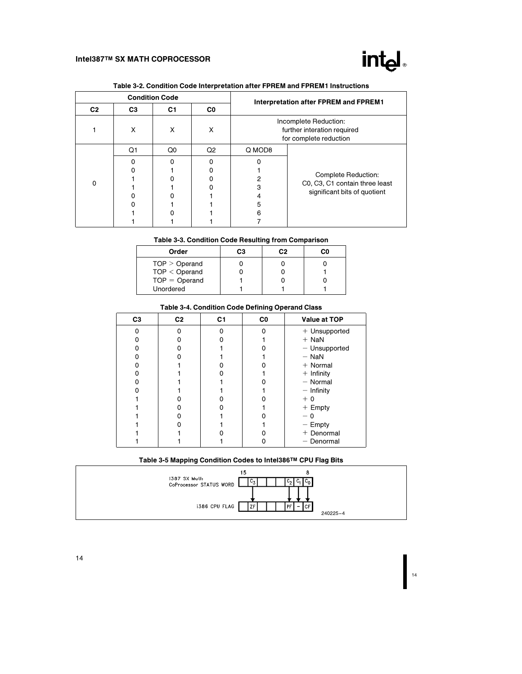

| <b>Condition Code</b> |                |                |                | Interpretation after FPREM and FPREM1 |                                                                                |                                |  |
|-----------------------|----------------|----------------|----------------|---------------------------------------|--------------------------------------------------------------------------------|--------------------------------|--|
|                       | C <sub>2</sub> | C <sub>3</sub> | C <sub>1</sub> | C0                                    |                                                                                |                                |  |
|                       |                | X              | X              | X                                     | Incomplete Reduction:<br>further interation required<br>for complete reduction |                                |  |
|                       |                | Q1             | Q0             | Q2                                    | Q MOD8                                                                         |                                |  |
|                       |                | O              |                |                                       |                                                                                |                                |  |
|                       |                |                |                |                                       |                                                                                | Complete Reduction:            |  |
|                       | $\Omega$       |                |                |                                       |                                                                                | C0, C3, C1 contain three least |  |
|                       |                |                |                |                                       |                                                                                | significant bits of quotient   |  |
|                       |                |                |                |                                       |                                                                                |                                |  |
|                       |                |                |                |                                       | 5                                                                              |                                |  |
|                       |                |                |                |                                       | 6                                                                              |                                |  |
|                       |                |                |                |                                       |                                                                                |                                |  |

# Table 3-2. Condition Code Interpretation after FPREM and FPREM1 Instructions

### Table 3-3. Condition Code Resulting from Comparison

| Order           | CЗ | C.2 | C٥ |
|-----------------|----|-----|----|
| TOP > Operand   |    |     |    |
| $TOP <$ Operand |    |     |    |
| $TOP = Operand$ |    |     |    |
| Unordered       |    |     |    |

#### Table 3-4. Condition Code Defining Operand Class

| C <sub>3</sub> | C <sub>2</sub> | C <sub>1</sub> | C <sub>0</sub> | Value at TOP    |
|----------------|----------------|----------------|----------------|-----------------|
| n              | o              |                |                | + Unsupported   |
|                | n              |                |                | $+$ NaN         |
| n              | n              |                |                | $-$ Unsupported |
|                |                |                |                | $-$ NaN         |
|                |                |                |                | $+$ Normal      |
|                |                |                |                | $+$ Infinity    |
|                |                |                |                | $-$ Normal      |
|                |                |                |                | $-$ Infinity    |
|                |                |                |                | $+0$            |
|                |                |                |                | $+$ Empty       |
|                | n              |                |                | - 0             |
|                |                |                |                | $-$ Empty       |
|                |                |                |                | + Denormal      |
|                |                |                | 0              | - Denormal      |

# Table 3-5 Mapping Condition Codes to Intel386TM CPU Flag Bits

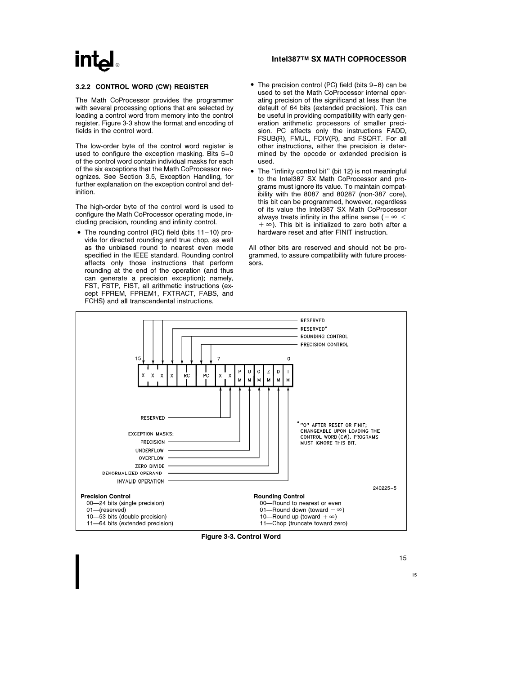#### 3.2.2 CONTROL WORD (CW) REGISTER

The Math CoProcessor provides the programmer with several processing options that are selected by loading a control word from memory into the control register. Figure 3-3 show the format and encoding of fields in the control word.

The low-order byte of the control word register is used to configure the exception masking. Bits 5-0 of the control word contain individual masks for each of the six exceptions that the Math CoProcessor recognizes. See Section 3.5, Exception Handling, for further explanation on the exception control and definition.

The high-order byte of the control word is used to configure the Math CoProcessor operating mode, including precision, rounding and infinity control.

- The rounding control (RC) field (bits 11-10) provide for directed rounding and true chop, as well as the unbiased round to nearest even mode specified in the IEEE standard. Rounding control affects only those instructions that perform rounding at the end of the operation (and thus can generate a precision exception); namely, FST, FSTP, FIST, all arithmetic instructions (except FPREM, FPREM1, FXTRACT, FABS, and FCHS) and all transcendental instructions.
- The precision control (PC) field (bits 9-8) can be used to set the Math CoProcessor internal operating precision of the significand at less than the default of 64 bits (extended precision). This can be useful in providing compatibility with early generation arithmetic processors of smaller precision. PC affects only the instructions FADD, FSUB(R), FMUL, FDIV(R), and FSQRT. For all other instructions, either the precision is determined by the opcode or extended precision is used.
- The "infinity control bit" (bit 12) is not meaningful to the Intel387 SX Math CoProcessor and programs must ignore its value. To maintain compatibility with the 8087 and 80287 (non-387 core), this bit can be programmed, however, regardless of its value the Intel387 SX Math CoProcessor always treats infinity in the affine sense ( $-\infty <$  $+\infty$ ). This bit is initialized to zero both after a hardware reset and after FINIT instruction.

All other bits are reserved and should not be programmed, to assure compatibility with future processors.



Figure 3-3. Control Word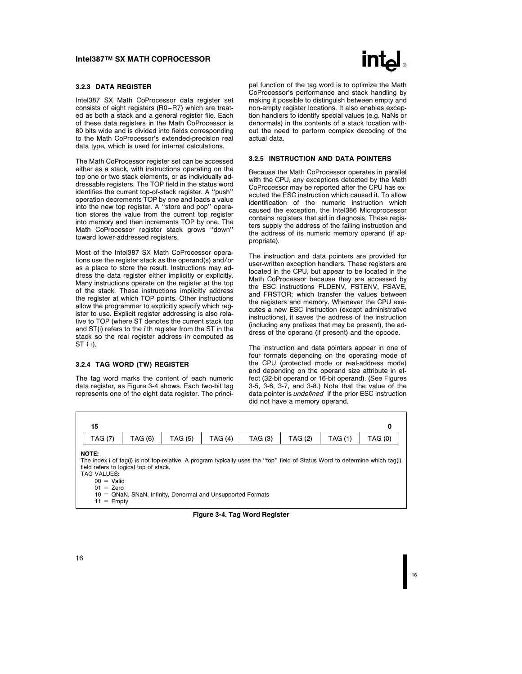#### 3.2.3 DATA REGISTER

Intel387 SX Math CoProcessor data register set consists of eight registers (R0 –R7) which are treated as both a stack and a general register file. Each of these data registers in the Math CoProcessor is 80 bits wide and is divided into fields corresponding to the Math CoProcessor's extended-precision real data type, which is used for internal calculations.

The Math CoProcessor register set can be accessed either as a stack, with instructions operating on the top one or two stack elements, or as individually addressable registers. The TOP field in the status word identifies the current top-of-stack register. A ''push'' operation decrements TOP by one and loads a value into the new top register. A ''store and pop'' operation stores the value from the current top register into memory and then increments TOP by one. The Math CoProcessor register stack grows ''down'' toward lower-addressed registers.

Most of the Intel387 SX Math CoProcessor operations use the register stack as the operand(s) and/or as a place to store the result. Instructions may address the data register either implicitly or explicitly. Many instructions operate on the register at the top of the stack. These instructions implicitly address the register at which TOP points. Other instructions allow the programmer to explicitly specify which register to use. Explicit register addressing is also relative to TOP (where ST denotes the current stack top and ST(i) refers to the i'th register from the ST in the stack so the real register address in computed as  $ST + i$ ).

#### 3.2.4 TAG WORD (TW) REGISTER

The tag word marks the content of each numeric data register, as Figure 3-4 shows. Each two-bit tag represents one of the eight data register. The princi-



pal function of the tag word is to optimize the Math CoProcessor's performance and stack handling by making it possible to distinguish between empty and non-empty register locations. It also enables exception handlers to identify special values (e.g. NaNs or denormals) in the contents of a stack location without the need to perform complex decoding of the actual data.

#### 3.2.5 INSTRUCTION AND DATA POINTERS

Because the Math CoProcessor operates in parallel with the CPU, any exceptions detected by the Math CoProcessor may be reported after the CPU has executed the ESC instruction which caused it. To allow identification of the numeric instruction which caused the exception, the Intel386 Microprocessor contains registers that aid in diagnosis. These registers supply the address of the failing instruction and the address of its numeric memory operand (if appropriate).

The instruction and data pointers are provided for user-written exception handlers. These registers are located in the CPU, but appear to be located in the Math CoProcessor because they are accessed by the ESC instructions FLDENV, FSTENV, FSAVE, and FRSTOR; which transfer the values between the registers and memory. Whenever the CPU executes a new ESC instruction (except administrative instructions), it saves the address of the instruction (including any prefixes that may be present), the address of the operand (if present) and the opcode.

The instruction and data pointers appear in one of four formats depending on the operating mode of the CPU (protected mode or real-address mode) and depending on the operand size attribute in effect (32-bit operand or 16-bit operand). (See Figures 3-5, 3-6, 3-7, and 3-8.) Note that the value of the data pointer is *undefined* if the prior ESC instruction did not have a memory operand.



Figure 3-4. Tag Word Register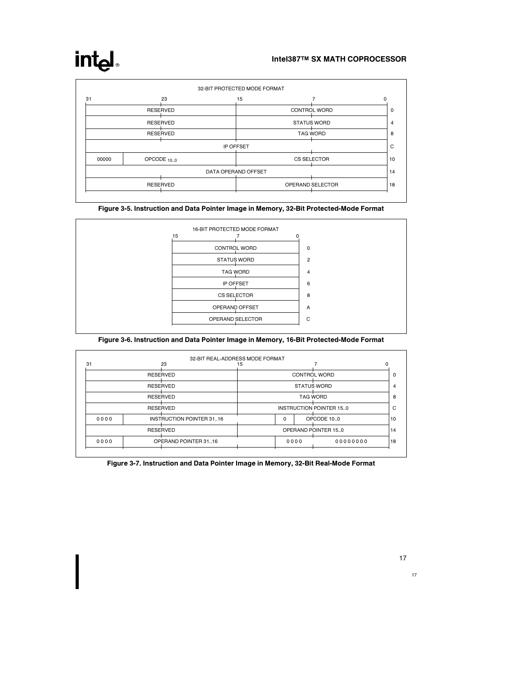# intel

| 31    | 23              | 15                  |                    |  |
|-------|-----------------|---------------------|--------------------|--|
|       | <b>RESERVED</b> |                     | CONTROL WORD       |  |
|       | <b>RESERVED</b> |                     | <b>STATUS WORD</b> |  |
|       | <b>RESERVED</b> |                     | <b>TAG WORD</b>    |  |
|       |                 | IP OFFSET           |                    |  |
| 00000 | OPCODE 10.0     |                     | CS SELECTOR        |  |
|       |                 | DATA OPERAND OFFSET |                    |  |
|       | <b>RESERVED</b> |                     | OPERAND SELECTOR   |  |

Figure 3-5. Instruction and Data Pointer Image in Memory, 32-Bit Protected-Mode Format



### Figure 3-6. Instruction and Data Pointer Image in Memory, 16-Bit Protected-Mode Format

|                 | 23                       | 32-BIT REAL-ADDRESS MODE FORMAT<br>15 |                         |      |                     |  |  |
|-----------------|--------------------------|---------------------------------------|-------------------------|------|---------------------|--|--|
|                 | <b>RESERVED</b>          |                                       | CONTROL WORD            |      |                     |  |  |
|                 | <b>RESERVED</b>          |                                       | <b>STATUS WORD</b>      |      |                     |  |  |
| <b>RESERVED</b> |                          |                                       | <b>TAG WORD</b>         |      |                     |  |  |
| <b>RESERVED</b> |                          |                                       | INSTRUCTION POINTER 150 |      |                     |  |  |
| 0000            | INSTRUCTION POINTER 3116 |                                       | $\Omega$                |      | OPCODE 10.0         |  |  |
|                 | <b>RESERVED</b>          |                                       |                         |      | OPERAND POINTER 150 |  |  |
| 0000            | OPERAND POINTER 3116     |                                       |                         | 0000 | 00000000            |  |  |

Figure 3-7. Instruction and Data Pointer Image in Memory, 32-Bit Real-Mode Format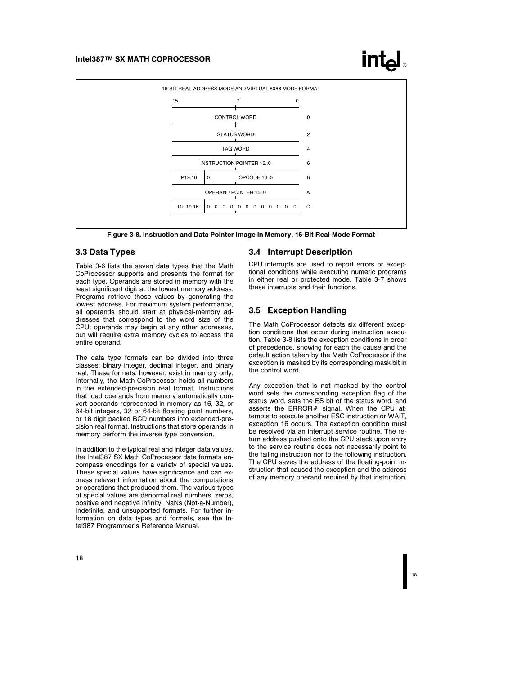



Figure 3-8. Instruction and Data Pointer Image in Memory, 16-Bit Real-Mode Format

# 3.3 Data Types

Table 3-6 lists the seven data types that the Math CoProcessor supports and presents the format for each type. Operands are stored in memory with the least significant digit at the lowest memory address. Programs retrieve these values by generating the lowest address. For maximum system performance, all operands should start at physical-memory addresses that correspond to the word size of the CPU; operands may begin at any other addresses, but will require extra memory cycles to access the entire operand.

The data type formats can be divided into three classes: binary integer, decimal integer, and binary real. These formats, however, exist in memory only. Internally, the Math CoProcessor holds all numbers in the extended-precision real format. Instructions that load operands from memory automatically convert operands represented in memory as 16, 32, or 64-bit integers, 32 or 64-bit floating point numbers, or 18 digit packed BCD numbers into extended-precision real format. Instructions that store operands in memory perform the inverse type conversion.

In addition to the typical real and integer data values, the Intel387 SX Math CoProcessor data formats encompass encodings for a variety of special values. These special values have significance and can express relevant information about the computations or operations that produced them. The various types of special values are denormal real numbers, zeros, positive and negative infinity, NaNs (Not-a-Number), Indefinite, and unsupported formats. For further information on data types and formats, see the Intel387 Programmer's Reference Manual.

### 3.4 Interrupt Description

CPU interrupts are used to report errors or exceptional conditions while executing numeric programs in either real or protected mode. Table 3-7 shows these interrupts and their functions.

#### 3.5 Exception Handling

The Math CoProcessor detects six different exception conditions that occur during instruction execution. Table 3-8 lists the exception conditions in order of precedence, showing for each the cause and the default action taken by the Math CoProcessor if the exception is masked by its corresponding mask bit in the control word.

Any exception that is not masked by the control word sets the corresponding exception flag of the status word, sets the ES bit of the status word, and asserts the ERROR $#$  signal. When the CPU attempts to execute another ESC instruction or WAIT, exception 16 occurs. The exception condition must be resolved via an interrupt service routine. The return address pushed onto the CPU stack upon entry to the service routine does not necessarily point to the failing instruction nor to the following instruction. The CPU saves the address of the floating-point instruction that caused the exception and the address of any memory operand required by that instruction.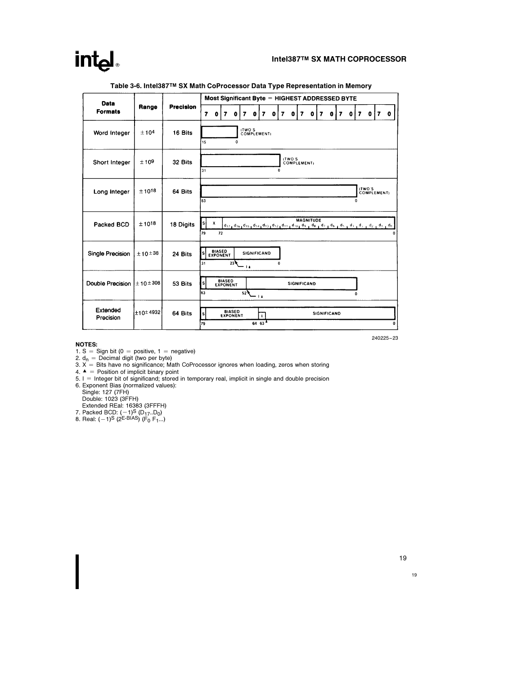# int<sub>el</sub>

| <b>Data</b>           |                     |                  | Most Significant Byte = HIGHEST ADDRESSED BYTE |                                  |                            |             |      |                                                                                                                                                                                                                                                                                                                                                                     |                                       |   |              |        |              |                    |              |   |             |                         |   |   |   |                       |              |           |
|-----------------------|---------------------|------------------|------------------------------------------------|----------------------------------|----------------------------|-------------|------|---------------------------------------------------------------------------------------------------------------------------------------------------------------------------------------------------------------------------------------------------------------------------------------------------------------------------------------------------------------------|---------------------------------------|---|--------------|--------|--------------|--------------------|--------------|---|-------------|-------------------------|---|---|---|-----------------------|--------------|-----------|
| <b>Formats</b>        | Range               | <b>Precision</b> | 7                                              | $\mathbf o$                      | 7                          | $\bullet$   | 7    | $\bullet$                                                                                                                                                                                                                                                                                                                                                           | 7                                     | 0 |              | 7      | $\mathbf{0}$ | $\overline{z}$     | $\mathbf{0}$ | 7 | 0           | $\overline{\mathbf{z}}$ | 0 |   | 7 | $\mathbf 0$           | $\mathbf{7}$ | $\bullet$ |
| Word Integer          | ±104                | 16 Bits          | 15                                             |                                  |                            | $\mathbf 0$ |      | <b>ITWO'S</b><br>COMPLEMENT)                                                                                                                                                                                                                                                                                                                                        |                                       |   |              |        |              |                    |              |   |             |                         |   |   |   |                       |              |           |
| Short Integer         | ±109                | 32 Bits          | 31                                             |                                  |                            |             |      |                                                                                                                                                                                                                                                                                                                                                                     |                                       |   | $\mathbf{0}$ | (TWO'S |              | <b>COMPLEMENT:</b> |              |   |             |                         |   |   |   |                       |              |           |
| Long Integer          | $±10^{18}$          | 64 Bits          | Ì63                                            |                                  |                            |             |      |                                                                                                                                                                                                                                                                                                                                                                     |                                       |   |              |        |              |                    |              |   |             |                         |   | 0 |   | (TWO'S<br>COMPLEMENT) |              |           |
| Packed BCD            | $±10^{18}$          | 18 Digits        | S)<br>79                                       | х                                | 72                         |             |      | $\mathsf{d}_{17_1} \mathsf{d}_{16_1} \mathsf{d}_{15_1} \mathsf{d}_{12_1} \mathsf{d}_{12_1} \mathsf{d}_{12_1} \mathsf{d}_{11_1} \mathsf{d}_{10_1} \mathsf{d}_{9_1} \mathsf{d}_{8_1} \mathsf{d}_{7_1} \mathsf{d}_{6_1} \mathsf{d}_{8_1} \mathsf{d}_{8_1} \mathsf{d}_{11_1} \mathsf{d}_{12_1} \mathsf{d}_{13_1} \mathsf{d}_{24_1} \mathsf{d}_{11_1} \mathsf{d}_{01_1}$ |                                       |   |              |        |              | <b>MAGNITUDE</b>   |              |   |             |                         |   |   |   |                       |              |           |
| Single Precision      | ±10±38              | 24 Bits          | s<br>31                                        | <b>BIASED</b><br><b>EXPONENT</b> |                            | 23          | - 14 | <b>SIGNIFICAND</b>                                                                                                                                                                                                                                                                                                                                                  |                                       |   | $\Omega$     |        |              |                    |              |   |             |                         |   |   |   |                       |              |           |
| Double Precision      | ± 10 ± 308          | 53 Bits          | s<br>63                                        |                                  | <b>BIASED<br/>EXPONENT</b> |             | 52   |                                                                                                                                                                                                                                                                                                                                                                     | - 14                                  |   |              |        |              | <b>SIGNIFICAND</b> |              |   |             |                         |   |   |   |                       |              |           |
| Extended<br>Precision | $\pm$ 10 $\pm$ 4932 | 64 Bits          | s<br>79                                        |                                  | <b>BIASED<br/>EXPONENT</b> |             |      |                                                                                                                                                                                                                                                                                                                                                                     | $\mathbf{r}$<br>$64, 63$ <sup>4</sup> |   |              |        |              |                    |              |   | SIGNIFICAND |                         |   |   |   |                       |              |           |

#### Table 3-6. Intel387TM SX Math CoProcessor Data Type Representation in Memory

**NOTES:**<br>1. S = Sign bit (0 = positive, 1 = negative)<br>2. d<sub>n</sub> = Decimal digit (two per byte)<br>3. X = Bits have no significance; Math CoProcessor ignores when loading, zeros when storing<br>4. A = Position of implicit binary p

- 
- 

Single: 127 (7FH)<br>Double: 1023 (3FFFH)<br>Extended REal: 16383 (3FFFH)<br>7. Packed BCD: (-1)<sup>S</sup> (D<sub>17</sub>..D<sub>0</sub>)<br>8. Real: (-1)<sup>S</sup> (2<sup>E-BIAS</sup>) (F<sub>0</sub> F<sub>1</sub>...)

19

240225 –23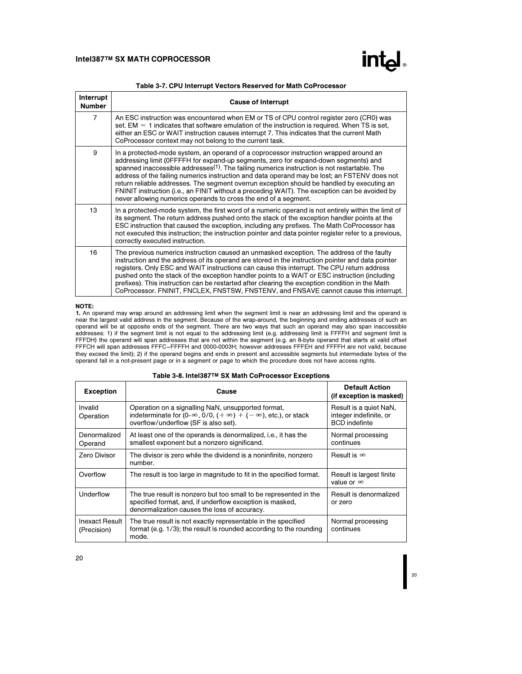

| Interrupt<br><b>Number</b> | <b>Cause of Interrupt</b>                                                                                                                                                                                                                                                                                                                                                                                                                                                                                                                                                                                                                                  |
|----------------------------|------------------------------------------------------------------------------------------------------------------------------------------------------------------------------------------------------------------------------------------------------------------------------------------------------------------------------------------------------------------------------------------------------------------------------------------------------------------------------------------------------------------------------------------------------------------------------------------------------------------------------------------------------------|
| $\overline{7}$             | An ESC instruction was encountered when EM or TS of CPU control register zero (CR0) was<br>set. $EM = 1$ indicates that software emulation of the instruction is required. When TS is set,<br>either an ESC or WAIT instruction causes interrupt 7. This indicates that the current Math<br>CoProcessor context may not belong to the current task.                                                                                                                                                                                                                                                                                                        |
| 9                          | In a protected-mode system, an operand of a coprocessor instruction wrapped around an<br>addressing limit (OFFFFH for expand-up segments, zero for expand-down segments) and<br>spanned inaccessible addresses <sup>(1)</sup> . The failing numerics instruction is not restartable. The<br>address of the failing numerics instruction and data operand may be lost; an FSTENV does not<br>return reliable addresses. The segment overrun exception should be handled by executing an<br>FNINIT instruction (i.e., an FINIT without a preceding WAIT). The exception can be avoided by<br>never allowing numerics operands to cross the end of a segment. |
| 13                         | In a protected-mode system, the first word of a numeric operand is not entirely within the limit of<br>its segment. The return address pushed onto the stack of the exception handler points at the<br>ESC instruction that caused the exception, including any prefixes. The Math CoProcessor has<br>not executed this instruction; the instruction pointer and data pointer register refer to a previous,<br>correctly executed instruction.                                                                                                                                                                                                             |
| 16                         | The previous numerics instruction caused an unmasked exception. The address of the faulty<br>instruction and the address of its operand are stored in the instruction pointer and data pointer<br>registers. Only ESC and WAIT instructions can cause this interrupt. The CPU return address<br>pushed onto the stack of the exception handler points to a WAIT or ESC instruction (including<br>prefixes). This instruction can be restarted after clearing the exception condition in the Math<br>CoProcessor. FNINIT, FNCLEX, FNSTSW, FNSTENV, and FNSAVE cannot cause this interrupt.                                                                  |

#### NOTE:

**1.** An operand may wrap around an addressing limit when the segment limit is near an addressing limit and the operand is<br>near the largest valid address in the segment. Because of the wrap-around, the beginning and ending they exceed the limit); 2) if the operand begins and ends in present and accessible segments but intermediate bytes of the<br>operand fall in a not-present page or in a segment or page to which the procedure does not have acc

| Table 3-8. Intel387™ SX Math CoProcessor Exceptions |  |  |  |
|-----------------------------------------------------|--|--|--|
|-----------------------------------------------------|--|--|--|

| <b>Exception</b>                     | Cause                                                                                                                                                                         | <b>Default Action</b><br>(if exception is masked)                        |
|--------------------------------------|-------------------------------------------------------------------------------------------------------------------------------------------------------------------------------|--------------------------------------------------------------------------|
| Invalid<br>Operation                 | Operation on a signalling NaN, unsupported format,<br>indeterminate for $(0-\infty, 0/0, (+\infty) + (-\infty))$ , etc.), or stack<br>overflow/underflow (SF is also set).    | Result is a quiet NaN,<br>integer indefinite, or<br><b>BCD</b> indefinte |
| Denormalized<br>Operand              | At least one of the operands is denormalized, i.e., it has the<br>smallest exponent but a nonzero significand.                                                                | Normal processing<br>continues                                           |
| <b>Zero Divisor</b>                  | The divisor is zero while the dividend is a noninfinite, nonzero<br>number.                                                                                                   | Result is $\infty$                                                       |
| Overflow                             | The result is too large in magnitude to fit in the specified format.                                                                                                          | Result is largest finite<br>value or $\infty$                            |
| Underflow                            | The true result is nonzero but too small to be represented in the<br>specified format, and, if underflow exception is masked,<br>denormalization causes the loss of accuracy. | Result is denormalized<br>or zero                                        |
| <b>Inexact Result</b><br>(Precision) | The true result is not exactly representable in the specified<br>format (e.g. 1/3); the result is rounded according to the rounding<br>mode.                                  | Normal processing<br>continues                                           |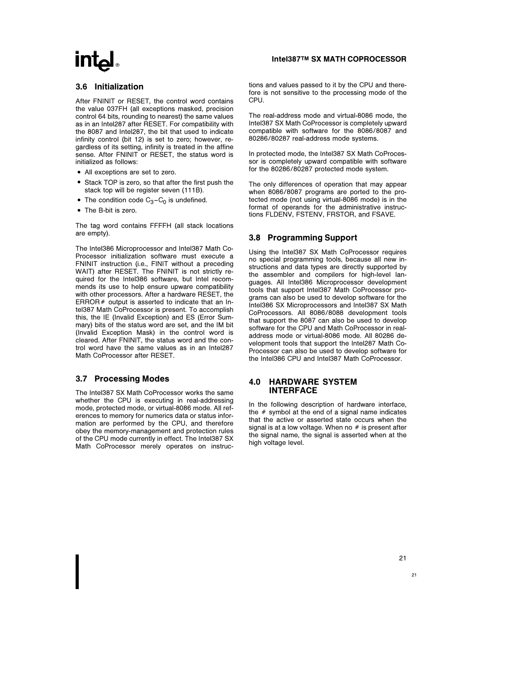# 3.6 Initialization

After FNINIT or RESET, the control word contains the value 037FH (all exceptions masked, precision control 64 bits, rounding to nearest) the same values as in an Intel287 after RESET. For compatibility with the 8087 and Intel287, the bit that used to indicate infinity control (bit 12) is set to zero; however, regardless of its setting, infinity is treated in the affine sense. After FNINIT or RESET, the status word is initialized as follows:

- All exceptions are set to zero.
- Stack TOP is zero, so that after the first push the stack top will be register seven (111B).
- The condition code  $C_3 C_0$  is undefined.
- The B-bit is zero.

The tag word contains FFFFH (all stack locations are empty).

The Intel386 Microprocessor and Intel387 Math Co-Processor initialization software must execute a FNINIT instruction (i.e., FINIT without a preceding WAIT) after RESET. The FNINIT is not strictly required for the Intel386 software, but Intel recommends its use to help ensure upware compatibility with other processors. After a hardware RESET, the ERROR $#$  output is asserted to indicate that an Intel387 Math CoProcessor is present. To accomplish this, the IE (Invalid Exception) and ES (Error Summary) bits of the status word are set, and the IM bit (Invalid Exception Mask) in the control word is cleared. After FNINIT, the status word and the control word have the same values as in an Intel287 Math CoProcessor after RESET.

## 3.7 Processing Modes

The Intel387 SX Math CoProcessor works the same whether the CPU is executing in real-addressing mode, protected mode, or virtual-8086 mode. All references to memory for numerics data or status information are performed by the CPU, and therefore obey the memory-management and protection rules of the CPU mode currently in effect. The Intel387 SX Math CoProcessor merely operates on instruc-

#### Intel387TM SX MATH COPROCESSOR

tions and values passed to it by the CPU and therefore is not sensitive to the processing mode of the CPU.

The real-address mode and virtual-8086 mode, the Intel387 SX Math CoProcessor is completely upward compatible with software for the 8086/8087 and 80286/80287 real-address mode systems.

In protected mode, the Intel387 SX Math CoProcessor is completely upward compatible with software for the 80286/80287 protected mode system.

The only differences of operation that may appear when 8086/8087 programs are ported to the protected mode (not using virtual-8086 mode) is in the format of operands for the administrative instructions FLDENV, FSTENV, FRSTOR, and FSAVE.

## 3.8 Programming Support

Using the Intel387 SX Math CoProcessor requires no special programming tools, because all new instructions and data types are directly supported by the assembler and compilers for high-level languages. All Intel386 Microprocessor development tools that support Intel387 Math CoProcessor programs can also be used to develop software for the Intel386 SX Microprocessors and Intel387 SX Math CoProcessors. All 8086/8088 development tools that support the 8087 can also be used to develop software for the CPU and Math CoProcessor in realaddress mode or virtual-8086 mode. All 80286 development tools that support the Intel287 Math Co-Processor can also be used to develop software for the Intel386 CPU and Intel387 Math CoProcessor.

#### 4.0 HARDWARE SYSTEM INTERFACE

In the following description of hardware interface, the  $#$  symbol at the end of a signal name indicates that the active or asserted state occurs when the signal is at a low voltage. When no  $#$  is present after the signal name, the signal is asserted when at the high voltage level.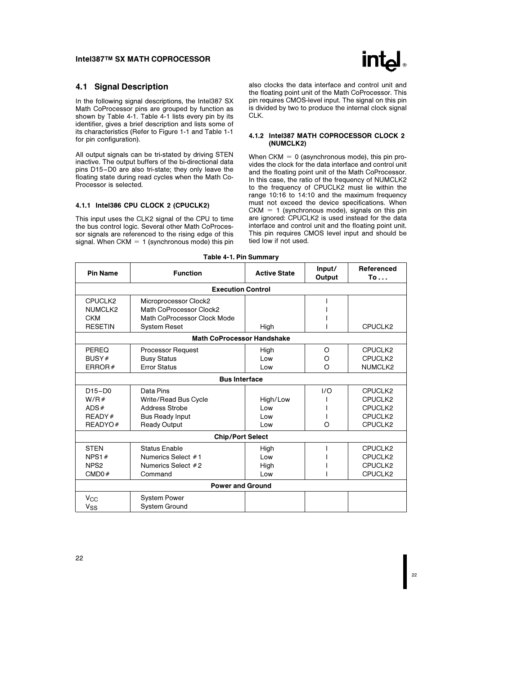

### 4.1 Signal Description

In the following signal descriptions, the Intel387 SX Math CoProcessor pins are grouped by function as shown by Table 4-1. Table 4-1 lists every pin by its identifier, gives a brief description and lists some of its characteristics (Refer to Figure 1-1 and Table 1-1 for pin configuration).

All output signals can be tri-stated by driving STEN inactive. The output buffers of the bi-directional data pins D15 –D0 are also tri-state; they only leave the floating state during read cycles when the Math Co-Processor is selected.

# 4.1.1 Intel386 CPU CLOCK 2 (CPUCLK2)

This input uses the CLK2 signal of the CPU to time the bus control logic. Several other Math CoProcessor signals are referenced to the rising edge of this signal. When CKM = 1 (synchronous mode) this pin also clocks the data interface and control unit and the floating point unit of the Math CoProcessor. This pin requires CMOS-level input. The signal on this pin is divided by two to produce the internal clock signal CLK.

#### 4.1.2 Intel387 MATH COPROCESSOR CLOCK 2 (NUMCLK2)

When CKM  $= 0$  (asynchronous mode), this pin provides the clock for the data interface and control unit and the floating point unit of the Math CoProcessor. In this case, the ratio of the frequency of NUMCLK2 to the frequency of CPUCLK2 must lie within the range 10:16 to 14:10 and the maximum frequency must not exceed the device specifications. When  $CKM = 1$  (synchronous mode), signals on this pin are ignored: CPUCLK2 is used instead for the data interface and control unit and the floating point unit. This pin requires CMOS level input and should be tied low if not used.

|  |  |  | Table 4-1. Pin Summary |  |
|--|--|--|------------------------|--|
|--|--|--|------------------------|--|

| <b>Pin Name</b>      | <b>Function</b>                   | <b>Active State</b> | Input/<br>Output | Referenced<br>To |  |  |  |
|----------------------|-----------------------------------|---------------------|------------------|------------------|--|--|--|
|                      | <b>Execution Control</b>          |                     |                  |                  |  |  |  |
| CPUCLK2              | Microprocessor Clock2             |                     |                  |                  |  |  |  |
| NUMCLK2              | Math CoProcessor Clock2           |                     |                  |                  |  |  |  |
| <b>CKM</b>           | Math CoProcessor Clock Mode       |                     |                  |                  |  |  |  |
| <b>RESETIN</b>       | <b>System Reset</b>               | High                |                  | CPUCLK2          |  |  |  |
|                      | <b>Math CoProcessor Handshake</b> |                     |                  |                  |  |  |  |
| PEREQ                | <b>Processor Request</b>          | High                | O                | CPUCLK2          |  |  |  |
| BUSY#                | <b>Busy Status</b>                | Low                 | O                | CPUCLK2          |  |  |  |
| ERROR $#$            | <b>Error Status</b>               | Low                 | $\Omega$         | NUMCLK2          |  |  |  |
| <b>Bus Interface</b> |                                   |                     |                  |                  |  |  |  |
| $D15-D0$             | Data Pins                         |                     | 1/O              | CPUCLK2          |  |  |  |
| W/R#                 | Write/Read Bus Cycle              | High/Low            |                  | CPUCLK2          |  |  |  |
| ADS#                 | <b>Address Strobe</b>             | Low                 |                  | CPUCLK2          |  |  |  |
| READV#               | <b>Bus Ready Input</b>            | Low                 |                  | CPUCLK2          |  |  |  |
| READYO#              | <b>Ready Output</b>               | Low                 | O                | CPUCLK2          |  |  |  |
|                      | <b>Chip/Port Select</b>           |                     |                  |                  |  |  |  |
| <b>STEN</b>          | <b>Status Enable</b>              | High                |                  | CPUCLK2          |  |  |  |
| NPS1#                | Numerics Select #1                | Low                 |                  | CPUCLK2          |  |  |  |
| NPS <sub>2</sub>     | Numerics Select #2                | High                |                  | CPUCLK2          |  |  |  |
| CMD0#                | Command                           | Low                 |                  | CPUCLK2          |  |  |  |
|                      | <b>Power and Ground</b>           |                     |                  |                  |  |  |  |
| $V_{CC}$             | <b>System Power</b>               |                     |                  |                  |  |  |  |
| V <sub>SS</sub>      | <b>System Ground</b>              |                     |                  |                  |  |  |  |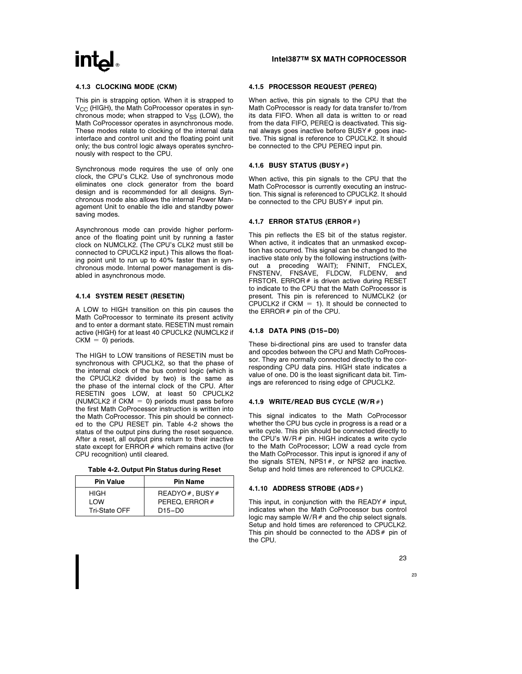#### 4.1.3 CLOCKING MODE (CKM)

This pin is strapping option. When it is strapped to  $V_{CC}$  (HIGH), the Math CoProcessor operates in synchronous mode; when strapped to  $V_{SS}$  (LOW), the Math CoProcessor operates in asynchronous mode. These modes relate to clocking of the internal data interface and control unit and the floating point unit only; the bus control logic always operates synchronously with respect to the CPU.

Synchronous mode requires the use of only one clock, the CPU's CLK2. Use of synchronous mode eliminates one clock generator from the board design and is recommended for all designs. Synchronous mode also allows the internal Power Management Unit to enable the idle and standby power saving modes.

Asynchronous mode can provide higher performance of the floating point unit by running a faster clock on NUMCLK2. (The CPU's CLK2 must still be connected to CPUCLK2 input.) This allows the floating point unit to run up to 40% faster than in synchronous mode. Internal power management is disabled in asynchronous mode.

#### 4.1.4 SYSTEM RESET (RESETIN)

A LOW to HIGH transition on this pin causes the Math CoProcessor to terminate its present activity and to enter a dormant state. RESETIN must remain active (HIGH) for at least 40 CPUCLK2 (NUMCLK2 if  $CKM = 0$ ) periods.

The HIGH to LOW transitions of RESETIN must be synchronous with CPUCLK2, so that the phase of the internal clock of the bus control logic (which is the CPUCLK2 divided by two) is the same as the phase of the internal clock of the CPU. After RESETIN goes LOW, at least 50 CPUCLK2 (NUMCLK2 if CKM  $=$  0) periods must pass before the first Math CoProcessor instruction is written into the Math CoProcessor. This pin should be connected to the CPU RESET pin. Table 4-2 shows the status of the output pins during the reset sequence. After a reset, all output pins return to their inactive state except for  $ERROR#$  which remains active (for CPU recognition) until cleared.

|  | Table 4-2. Output Pin Status during Reset |  |  |  |
|--|-------------------------------------------|--|--|--|
|--|-------------------------------------------|--|--|--|

| <b>Pin Value</b> | <b>Pin Name</b> |
|------------------|-----------------|
| <b>HIGH</b>      | READYO#. BUSY#  |
| <b>I</b> OW      | PEREQ, ERROR#   |
| Tri-State OFF    | $D15-D0$        |

#### Intel387TM SX MATH COPROCESSOR

#### 4.1.5 PROCESSOR REQUEST (PEREQ)

When active, this pin signals to the CPU that the Math CoProcessor is ready for data transfer to/from its data FIFO. When all data is written to or read from the data FIFO, PEREQ is deactivated. This signal always goes inactive before BUSY # goes inactive. This signal is reference to CPUCLK2. It should be connected to the CPU PEREQ input pin.

#### 4.1.6 BUSY STATUS (BUSY  $#$ )

When active, this pin signals to the CPU that the Math CoProcessor is currently executing an instruction. This signal is referenced to CPUCLK2. It should be connected to the CPU BUSY # input pin.

#### 4.1.7 ERROR STATUS (ERROR#)

This pin reflects the ES bit of the status register. When active, it indicates that an unmasked exception has occurred. This signal can be changed to the inactive state only by the following instructions (without a preceding WAIT); FNINIT, FNCLEX, FNSTENV, FNSAVE, FLDCW, FLDENV, and FRSTOR. ERROR  $#$  is driven active during RESET to indicate to the CPU that the Math CoProcessor is present. This pin is referenced to NUMCLK2 (or CPUCLK2 if  $CKM = 1$ ). It should be connected to the  $ERROR#$  pin of the CPU.

#### 4.1.8 DATA PINS (D15 –D0)

These bi-directional pins are used to transfer data and opcodes between the CPU and Math CoProcessor. They are normally connected directly to the corresponding CPU data pins. HIGH state indicates a value of one. D0 is the least significant data bit. Timings are referenced to rising edge of CPUCLK2.

#### 4.1.9 WRITE/READ BUS CYCLE (W/R#)

This signal indicates to the Math CoProcessor whether the CPU bus cycle in progress is a read or a write cycle. This pin should be connected directly to the CPU's  $W/R#$  pin. HIGH indicates a write cycle to the Math CoProcessor; LOW a read cycle from the Math CoProcessor. This input is ignored if any of the signals STEN, NPS1 $#$ , or NPS2 are inactive. Setup and hold times are referenced to CPUCLK2.

#### 4.1.10 ADDRESS STROBE (ADS#)

This input, in conjunction with the READY  $#$  input, indicates when the Math CoProcessor bus control logic may sample  $W/R#$  and the chip select signals. Setup and hold times are referenced to CPUCLK2. This pin should be connected to the  $ADS#$  pin of the CPU.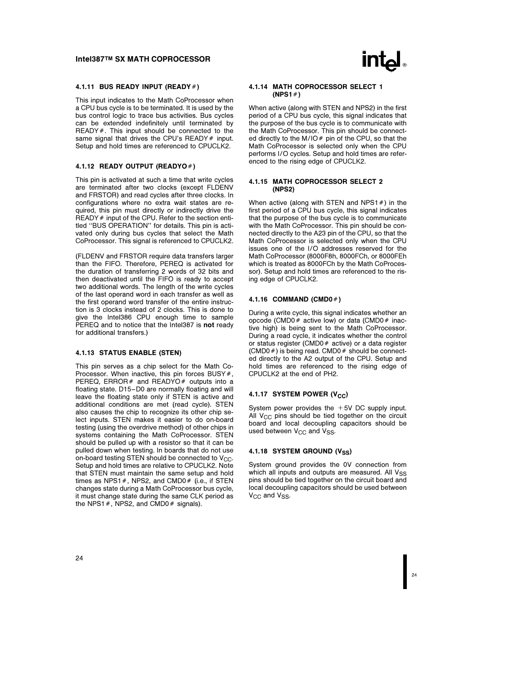#### 4.1.11 BUS READY INPUT (READY#)

This input indicates to the Math CoProcessor when a CPU bus cycle is to be terminated. It is used by the bus control logic to trace bus activities. Bus cycles can be extended indefinitely until terminated by  $READV$ . This input should be connected to the same signal that drives the CPU's READY  $#$  input. Setup and hold times are referenced to CPUCLK2.

#### 4.1.12 READY OUTPUT (READYO#)

This pin is activated at such a time that write cycles are terminated after two clocks (except FLDENV and FRSTOR) and read cycles after three clocks. In configurations where no extra wait states are required, this pin must directly or indirectly drive the  $READV$ # input of the CPU. Refer to the section entitled ''BUS OPERATION'' for details. This pin is activated only during bus cycles that select the Math CoProcessor. This signal is referenced to CPUCLK2.

(FLDENV and FRSTOR require data transfers larger than the FIFO. Therefore, PEREQ is activated for the duration of transferring 2 words of 32 bits and then deactivated until the FIFO is ready to accept two additional words. The length of the write cycles of the last operand word in each transfer as well as the first operand word transfer of the entire instruction is 3 clocks instead of 2 clocks. This is done to give the Intel386 CPU enough time to sample PEREQ and to notice that the Intel387 is not ready for additional transfers.)

#### 4.1.13 STATUS ENABLE (STEN)

This pin serves as a chip select for the Math Co-Processor. When inactive, this pin forces BUSY $#$ , PEREQ, ERROR  $#$  and READYO  $#$  outputs into a floating state. D15 –D0 are normally floating and will leave the floating state only if STEN is active and additional conditions are met (read cycle). STEN also causes the chip to recognize its other chip select inputs. STEN makes it easier to do on-board testing (using the overdrive method) of other chips in systems containing the Math CoProcessor. STEN should be pulled up with a resistor so that it can be pulled down when testing. In boards that do not use on-board testing STEN should be connected to  $V_{\text{CC}}$ . Setup and hold times are relative to CPUCLK2. Note that STEN must maintain the same setup and hold times as NPS1  $#$ , NPS2, and CMD0 $#$  (i.e., if STEN changes state during a Math CoProcessor bus cycle, it must change state during the same CLK period as the NPS1  $#$ , NPS2, and CMD0  $#$  signals).



#### 4.1.14 MATH COPROCESSOR SELECT 1  $(NPS1#)$

When active (along with STEN and NPS2) in the first period of a CPU bus cycle, this signal indicates that the purpose of the bus cycle is to communicate with the Math CoProcessor. This pin should be connected directly to the M/IO $#$  pin of the CPU, so that the Math CoProcessor is selected only when the CPU performs I/O cycles. Setup and hold times are referenced to the rising edge of CPUCLK2.

#### 4.1.15 MATH COPROCESSOR SELECT 2 (NPS2)

When active (along with STEN and NPS1 $#$ ) in the first period of a CPU bus cycle, this signal indicates that the purpose of the bus cycle is to communicate with the Math CoProcessor. This pin should be connected directly to the A23 pin of the CPU, so that the Math CoProcessor is selected only when the CPU issues one of the I/O addresses reserved for the Math CoProcessor (8000F8h, 8000FCh, or 8000FEh which is treated as 8000FCh by the Math CoProcessor). Setup and hold times are referenced to the rising edge of CPUCLK2.

#### 4.1.16 COMMAND (CMD0#)

During a write cycle, this signal indicates whether an opcode (CMD0 $#$  active low) or data (CMD0 $#$  inactive high) is being sent to the Math CoProcessor. During a read cycle, it indicates whether the control or status register (CMD0 $#$  active) or a data register (CMD0 $#$ ) is being read. CMD0 $#$  should be connected directly to the A2 output of the CPU. Setup and hold times are referenced to the rising edge of CPUCLK2 at the end of PH2.

#### 4.1.17 SYSTEM POWER  $(V_{CC})$

System power provides the  $+5V$  DC supply input. All  $V_{CC}$  pins should be tied together on the circuit board and local decoupling capacitors should be used between  $V_{CC}$  and  $V_{SS}$ .

#### 4.1.18 SYSTEM GROUND (V<sub>SS</sub>)

System ground provides the 0V connection from which all inputs and outputs are measured. All  $V_{SS}$ pins should be tied together on the circuit board and local decoupling capacitors should be used between  $V_{CC}$  and  $V_{SS}$ .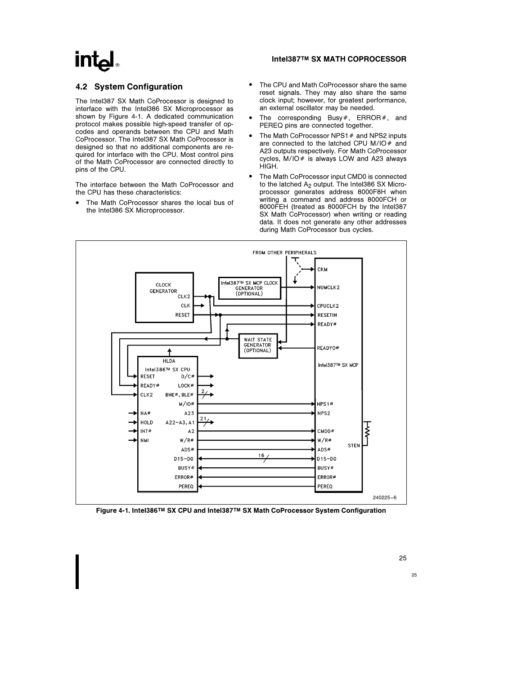# $Int_{\mathbf{a}}$

### Intel387TM SX MATH COPROCESSOR

# 4.2 System Configuration

The Intel387 SX Math CoProcessor is designed to interface with the Intel386 SX Microprocessor as shown by Figure 4-1. A dedicated communication protocol makes possible high-speed transfer of opcodes and operands between the CPU and Math CoProcessor. The Intel387 SX Math CoProcessor is designed so that no additional components are required for interface with the CPU. Most control pins of the Math CoProcessor are connected directly to pins of the CPU.

The interface between the Math CoProcessor and the CPU has these characteristics:

• The Math CoProcessor shares the local bus of the Intel386 SX Microprocessor.

- The CPU and Math CoProcessor share the same reset signals. They may also share the same clock input; however, for greatest performance, an external oscillator may be needed.
- The corresponding Busy#, ERROR#, and PEREQ pins are connected together.
- The Math CoProcessor NPS1 $#$  and NPS2 inputs are connected to the latched CPU M/IO $#$  and A23 outputs respectively. For Math CoProcessor cycles,  $M/IO#$  is always LOW and A23 always HIGH.
- The Math CoProcessor input CMD0 is connected to the latched  $A<sub>2</sub>$  output. The Intel386 SX Microprocessor generates address 8000F8H when writing a command and address 8000FCH or 8000FEH (treated as 8000FCH by the Intel387 SX Math CoProcessor) when writing or reading data. It does not generate any other addresses during Math CoProcessor bus cycles.



Figure 4-1. Intel386TM SX CPU and Intel387TM SX Math CoProcessor System Configuration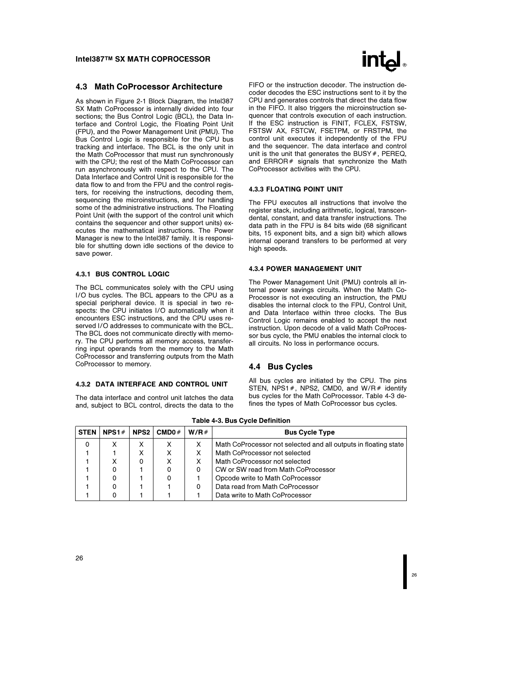#### 4.3 Math CoProcessor Architecture

As shown in Figure 2-1 Block Diagram, the Intel387 SX Math CoProcessor is internally divided into four sections; the Bus Control Logic (BCL), the Data Interface and Control Logic, the Floating Point Unit (FPU), and the Power Management Unit (PMU). The Bus Control Logic is responsible for the CPU bus tracking and interface. The BCL is the only unit in the Math CoProcessor that must run synchronously with the CPU; the rest of the Math CoProcessor can run asynchronously with respect to the CPU. The Data Interface and Control Unit is responsible for the data flow to and from the FPU and the control registers, for receiving the instructions, decoding them, sequencing the microinstructions, and for handling some of the administrative instructions. The Floating Point Unit (with the support of the control unit which contains the sequencer and other support units) executes the mathematical instructions. The Power Manager is new to the Intel387 family. It is responsible for shutting down idle sections of the device to save power.

#### 4.3.1 BUS CONTROL LOGIC

The BCL communicates solely with the CPU using I/O bus cycles. The BCL appears to the CPU as a special peripheral device. It is special in two respects: the CPU initiates I/O automatically when it encounters ESC instructions, and the CPU uses reserved I/O addresses to communicate with the BCL. The BCL does not communicate directly with memory. The CPU performs all memory access, transferring input operands from the memory to the Math CoProcessor and transferring outputs from the Math CoProcessor to memory.

#### 4.3.2 DATA INTERFACE AND CONTROL UNIT

The data interface and control unit latches the data and, subject to BCL control, directs the data to the



FIFO or the instruction decoder. The instruction decoder decodes the ESC instructions sent to it by the CPU and generates controls that direct the data flow in the FIFO. It also triggers the microinstruction sequencer that controls execution of each instruction. If the ESC instruction is FINIT, FCLEX, FSTSW, FSTSW AX, FSTCW, FSETPM, or FRSTPM, the control unit executes it independently of the FPU and the sequencer. The data interface and control unit is the unit that generates the BUSY  $#$ , PEREQ, and  $ERROR#$  signals that synchronize the Math CoProcessor activities with the CPU.

#### 4.3.3 FLOATING POINT UNIT

The FPU executes all instructions that involve the register stack, including arithmetic, logical, transcendental, constant, and data transfer instructions. The data path in the FPU is 84 bits wide (68 significant bits, 15 exponent bits, and a sign bit) which allows internal operand transfers to be performed at very high speeds.

#### 4.3.4 POWER MANAGEMENT UNIT

The Power Management Unit (PMU) controls all internal power savings circuits. When the Math Co-Processor is not executing an instruction, the PMU disables the internal clock to the FPU, Control Unit, and Data Interface within three clocks. The Bus Control Logic remains enabled to accept the next instruction. Upon decode of a valid Math CoProcessor bus cycle, the PMU enables the internal clock to all circuits. No loss in performance occurs.

#### 4.4 Bus Cycles

All bus cycles are initiated by the CPU. The pins STEN, NPS1  $#$ , NPS2, CMD0, and W/R $#$  identify bus cycles for the Math CoProcessor. Table 4-3 defines the types of Math CoProcessor bus cycles.

| <b>STEN</b> | NPS1# | NPS2 | CMDO# | W/R# | <b>Bus Cycle Type</b>                                           |
|-------------|-------|------|-------|------|-----------------------------------------------------------------|
| 0           |       |      |       | X    | Math CoProcessor not selected and all outputs in floating state |
|             |       |      |       | X    | Math CoProcessor not selected                                   |
|             |       | 0    | х     | X    | Math CoProcessor not selected                                   |
|             |       |      |       | 0    | CW or SW read from Math CoProcessor                             |
|             |       |      |       |      | Opcode write to Math CoProcessor                                |
|             | 0     |      |       | 0    | Data read from Math CoProcessor                                 |
|             |       |      |       |      | Data write to Math CoProcessor                                  |

#### Table 4-3. Bus Cycle Definition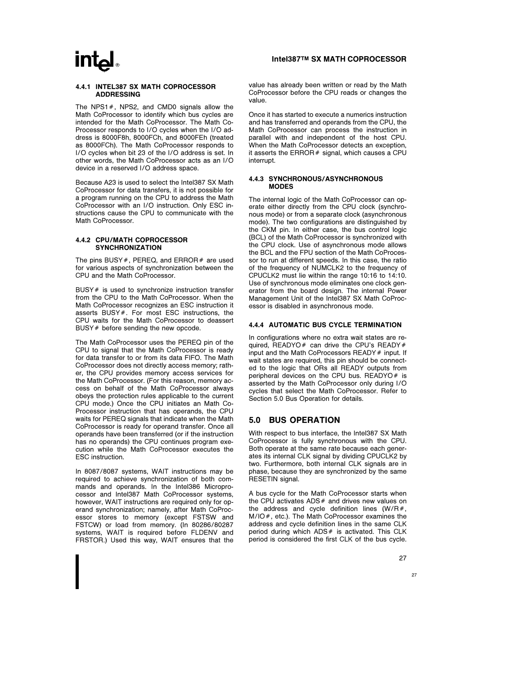#### 4.4.1 INTEL387 SX MATH COPROCESSOR ADDRESSING

The NPS1 $#$ , NPS2, and CMD0 signals allow the Math CoProcessor to identify which bus cycles are intended for the Math CoProcessor. The Math Co-Processor responds to I/O cycles when the I/O address is 8000F8h, 8000FCh, and 8000FEh (treated as 8000FCh). The Math CoProcessor responds to I/O cycles when bit 23 of the I/O address is set. In other words, the Math CoProcessor acts as an I/O device in a reserved I/O address space.

Because A23 is used to select the Intel387 SX Math CoProcessor for data transfers, it is not possible for a program running on the CPU to address the Math CoProcessor with an I/O instruction. Only ESC instructions cause the CPU to communicate with the Math CoProcessor.

#### 4.4.2 CPU/MATH COPROCESSOR **SYNCHRONIZATION**

The pins BUSY#, PEREQ, and ERROR# are used for various aspects of synchronization between the CPU and the Math CoProcessor.

BUSY  $#$  is used to synchronize instruction transfer from the CPU to the Math CoProcessor. When the Math CoProcessor recognizes an ESC instruction it asserts  $BUSY#$ . For most ESC instructions, the CPU waits for the Math CoProcessor to deassert BUSY  $#$  before sending the new opcode.

The Math CoProcessor uses the PEREQ pin of the CPU to signal that the Math CoProcessor is ready for data transfer to or from its data FIFO. The Math CoProcessor does not directly access memory; rather, the CPU provides memory access services for the Math CoProcessor. (For this reason, memory access on behalf of the Math CoProcessor always obeys the protection rules applicable to the current CPU mode.) Once the CPU initiates an Math Co-Processor instruction that has operands, the CPU waits for PEREQ signals that indicate when the Math CoProcessor is ready for operand transfer. Once all operands have been transferred (or if the instruction has no operands) the CPU continues program execution while the Math CoProcessor executes the ESC instruction.

In 8087/8087 systems, WAIT instructions may be required to achieve synchronization of both commands and operands. In the Intel386 Microprocessor and Intel387 Math CoProcessor systems, however, WAIT instructions are required only for operand synchronization; namely, after Math CoProcessor stores to memory (except FSTSW and FSTCW) or load from memory. (In 80286/80287 systems, WAIT is required before FLDENV and FRSTOR.) Used this way, WAIT ensures that the

#### Intel387TM SX MATH COPROCESSOR

value has already been written or read by the Math CoProcessor before the CPU reads or changes the value.

Once it has started to execute a numerics instruction and has transferred and operands from the CPU, the Math CoProcessor can process the instruction in parallel with and independent of the host CPU. When the Math CoProcessor detects an exception, it asserts the  $ERROR#$  signal, which causes a CPU interrupt.

#### 4.4.3 SYNCHRONOUS/ASYNCHRONOUS MODES

The internal logic of the Math CoProcessor can operate either directly from the CPU clock (synchronous mode) or from a separate clock (asynchronous mode). The two configurations are distinguished by the CKM pin. In either case, the bus control logic (BCL) of the Math CoProcessor is synchronized with the CPU clock. Use of asynchronous mode allows the BCL and the FPU section of the Math CoProcessor to run at different speeds. In this case, the ratio of the frequency of NUMCLK2 to the frequency of CPUCLK2 must lie within the range 10:16 to 14:10. Use of synchronous mode eliminates one clock generator from the board design. The internal Power Management Unit of the Intel387 SX Math CoProcessor is disabled in asynchronous mode.

#### 4.4.4 AUTOMATIC BUS CYCLE TERMINATION

In configurations where no extra wait states are required, READYO# can drive the CPU's READY# input and the Math CoProcessors  $READV \#$  input. If wait states are required, this pin should be connected to the logic that ORs all READY outputs from peripheral devices on the CPU bus.  $READYO#$  is asserted by the Math CoProcessor only during I/O cycles that select the Math CoProcessor. Refer to Section 5.0 Bus Operation for details.

## 5.0 BUS OPERATION

With respect to bus interface, the Intel387 SX Math CoProcessor is fully synchronous with the CPU. Both operate at the same rate because each generates its internal CLK signal by dividing CPUCLK2 by two. Furthermore, both internal CLK signals are in phase, because they are synchronized by the same RESETIN signal.

A bus cycle for the Math CoProcessor starts when the CPU activates  $ADS#$  and drives new values on the address and cycle definition lines  $(W/R#$ ,  $M/IO$ , etc.). The Math CoProcessor examines the address and cycle definition lines in the same CLK period during which  $ADS#$  is activated. This CLK period is considered the first CLK of the bus cycle.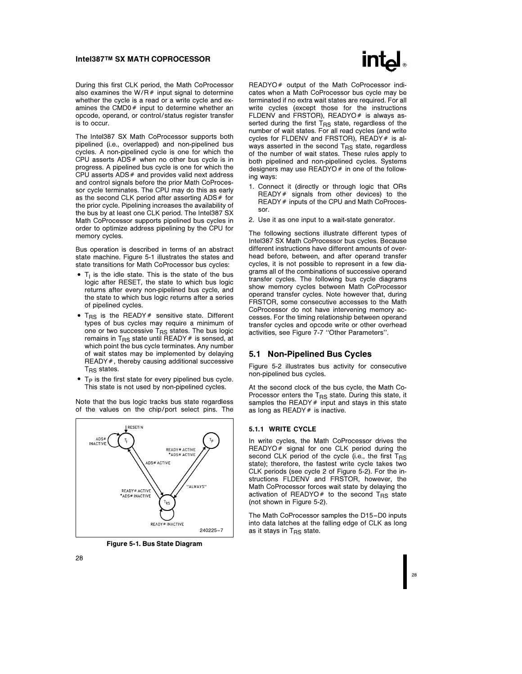During this first CLK period, the Math CoProcessor also examines the W/R $#$  input signal to determine whether the cycle is a read or a write cycle and examines the CMD0 $#$  input to determine whether an opcode, operand, or control/status register transfer is to occur.

The Intel387 SX Math CoProcessor supports both pipelined (i.e., overlapped) and non-pipelined bus cycles. A non-pipelined cycle is one for which the CPU asserts  $ADS#$  when no other bus cycle is in progress. A pipelined bus cycle is one for which the CPU asserts  $ADS#$  and provides valid next address and control signals before the prior Math CoProcessor cycle terminates. The CPU may do this as early as the second CLK period after asserting  $ADS#$  for the prior cycle. Pipelining increases the availability of the bus by at least one CLK period. The Intel387 SX Math CoProcessor supports pipelined bus cycles in order to optimize address pipelining by the CPU for memory cycles.

Bus operation is described in terms of an abstract state machine. Figure 5-1 illustrates the states and state transitions for Math CoProcessor bus cycles:

- $\bullet$  T<sub>I</sub> is the idle state. This is the state of the bus logic after RESET, the state to which bus logic returns after every non-pipelined bus cycle, and the state to which bus logic returns after a series of pipelined cycles.
- $\bullet$  T<sub>RS</sub> is the READY# sensitive state. Different types of bus cycles may require a minimum of one or two successive  $T_{\text{RS}}$  states. The bus logic remains in T<sub>RS</sub> state until READY  $#$  is sensed, at which point the bus cycle terminates. Any number of wait states may be implemented by delaying READY#, thereby causing additional successive  $T_{RS}$  states.
- $\bullet$  T<sub>P</sub> is the first state for every pipelined bus cycle. This state is not used by non-pipelined cycles.

Note that the bus logic tracks bus state regardless of the values on the chip/port select pins. The



Figure 5-1. Bus State Diagram



READYO# output of the Math CoProcessor indicates when a Math CoProcessor bus cycle may be terminated if no extra wait states are required. For all write cycles (except those for the instructions FLDENV and FRSTOR), READYO $#$  is always asserted during the first  $T_{RS}$  state, regardless of the number of wait states. For all read cycles (and write cycles for FLDENV and FRSTOR), READY  $#$  is always asserted in the second  $T_{\text{RS}}$  state, regardless of the number of wait states. These rules apply to both pipelined and non-pipelined cycles. Systems designers may use READYO  $#$  in one of the following ways:

- 1. Connect it (directly or through logic that ORs READY  $#$  signals from other devices) to the READY # inputs of the CPU and Math CoProcessor.
- 2. Use it as one input to a wait-state generator.

The following sections illustrate different types of Intel387 SX Math CoProcessor bus cycles. Because different instructions have different amounts of overhead before, between, and after operand transfer cycles, it is not possible to represent in a few diagrams all of the combinations of successive operand transfer cycles. The following bus cycle diagrams show memory cycles between Math CoProcessor operand transfer cycles. Note however that, during FRSTOR, some consecutive accesses to the Math CoProcessor do not have intervening memory accesses. For the timing relationship between operand transfer cycles and opcode write or other overhead activities, see Figure 7-7 ''Other Parameters''.

### 5.1 Non-Pipelined Bus Cycles

Figure 5-2 illustrates bus activity for consecutive non-pipelined bus cycles.

At the second clock of the bus cycle, the Math Co-Processor enters the  $T_{BS}$  state. During this state, it samples the READY  $#$  input and stays in this state as long as READY  $#$  is inactive.

#### 5.1.1 WRITE CYCLE

In write cycles, the Math CoProcessor drives the READYO# signal for one CLK period during the second CLK period of the cycle (i.e., the first  $T_{BS}$ state); therefore, the fastest write cycle takes two CLK periods (see cycle 2 of Figure 5-2). For the instructions FLDENV and FRSTOR, however, the Math CoProcessor forces wait state by delaying the activation of READYO# to the second  $T_{RS}$  state (not shown in Figure 5-2).

The Math CoProcessor samples the D15 –D0 inputs into data latches at the falling edge of CLK as long as it stays in  $T_{\text{BS}}$  state.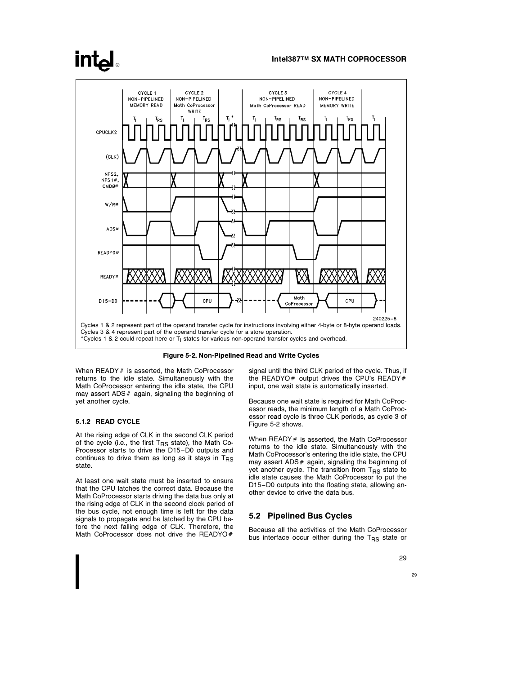# **intal**



Figure 5-2. Non-Pipelined Read and Write Cycles

When  $READV \#$  is asserted, the Math CoProcessor returns to the idle state. Simultaneously with the Math CoProcessor entering the idle state, the CPU may assert ADS $#$  again, signaling the beginning of yet another cycle.

#### 5.1.2 READ CYCLE

At the rising edge of CLK in the second CLK period of the cycle (i.e., the first  $T_{RS}$  state), the Math Co-Processor starts to drive the D15-D0 outputs and continues to drive them as long as it stays in  $T_{\text{RS}}$ state.

At least one wait state must be inserted to ensure that the CPU latches the correct data. Because the Math CoProcessor starts driving the data bus only at the rising edge of CLK in the second clock period of the bus cycle, not enough time is left for the data signals to propagate and be latched by the CPU before the next falling edge of CLK. Therefore, the Math CoProcessor does not drive the READYO#

signal until the third CLK period of the cycle. Thus, if the READYO# output drives the CPU's READY# input, one wait state is automatically inserted.

Because one wait state is required for Math CoProcessor reads, the minimum length of a Math CoProcessor read cycle is three CLK periods, as cycle 3 of Figure 5-2 shows.

When  $READV \#$  is asserted, the Math CoProcessor returns to the idle state. Simultaneously with the Math CoProcessor's entering the idle state, the CPU may assert ADS $#$  again, signaling the beginning of yet another cycle. The transition from  $T_{BS}$  state to idle state causes the Math CoProcessor to put the D15 –D0 outputs into the floating state, allowing another device to drive the data bus.

#### 5.2 Pipelined Bus Cycles

Because all the activities of the Math CoProcessor bus interface occur either during the  $T_{RS}$  state or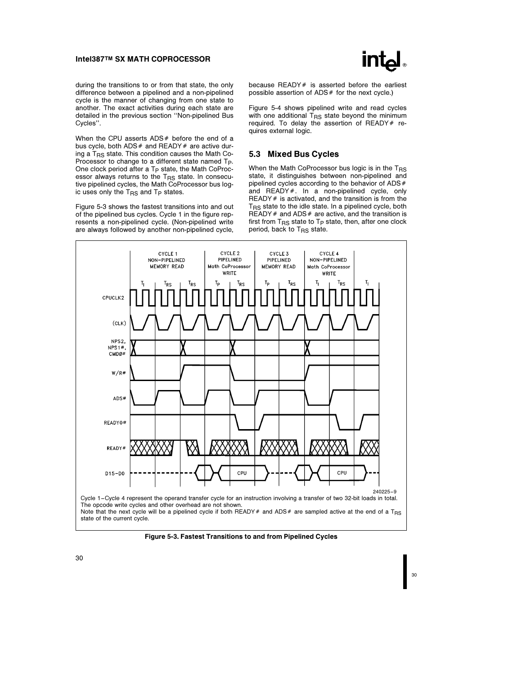

during the transitions to or from that state, the only difference between a pipelined and a non-pipelined cycle is the manner of changing from one state to another. The exact activities during each state are detailed in the previous section ''Non-pipelined Bus Cycles''.

When the CPU asserts  $ADS#$  before the end of a bus cycle, both  $ADS#$  and  $READY#$  are active during a TRS state. This condition causes the Math Co-Processor to change to a different state named Tp. One clock period after a T<sub>P</sub> state, the Math CoProcessor always returns to the  $T_{\mathsf{RS}}$  state. In consecutive pipelined cycles, the Math CoProcessor bus logic uses only the  $T_{\text{RS}}$  and  $T_{\text{P}}$  states.

Figure 5-3 shows the fastest transitions into and out of the pipelined bus cycles. Cycle 1 in the figure represents a non-pipelined cycle. (Non-pipelined write are always followed by another non-pipelined cycle, because READY $#$  is asserted before the earliest possible assertion of  $ADS#$  for the next cycle.)

Figure 5-4 shows pipelined write and read cycles with one additional  $T_{RS}$  state beyond the minimum required. To delay the assertion of  $READV \#$  requires external logic.

#### 5.3 Mixed Bus Cycles

When the Math CoProcessor bus logic is in the  $T_{RS}$ state, it distinguishes between non-pipelined and pipelined cycles according to the behavior of  $ADS#$ and  $READY#$ . In a non-pipelined cycle, only READY  $#$  is activated, and the transition is from the  $T_{RS}$  state to the idle state. In a pipelined cycle, both READY  $#$  and ADS  $#$  are active, and the transition is first from  $T_{RS}$  state to  $T_P$  state, then, after one clock period, back to  $T_{RS}$  state.



Figure 5-3. Fastest Transitions to and from Pipelined Cycles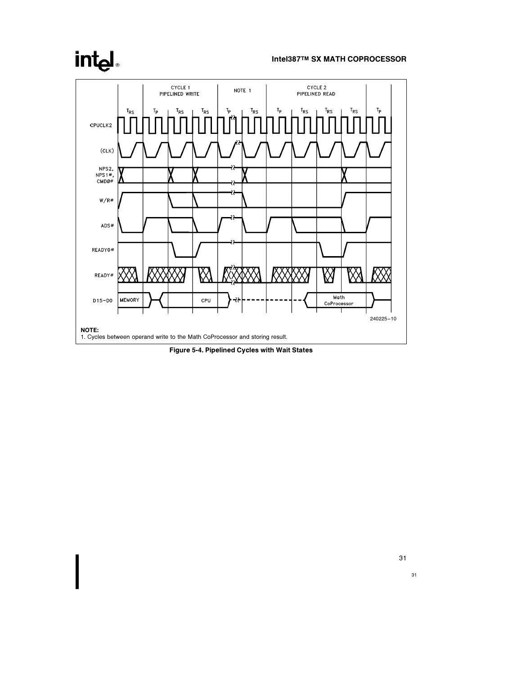# intd.

## Intel387TM SX MATH COPROCESSOR



Figure 5-4. Pipelined Cycles with Wait States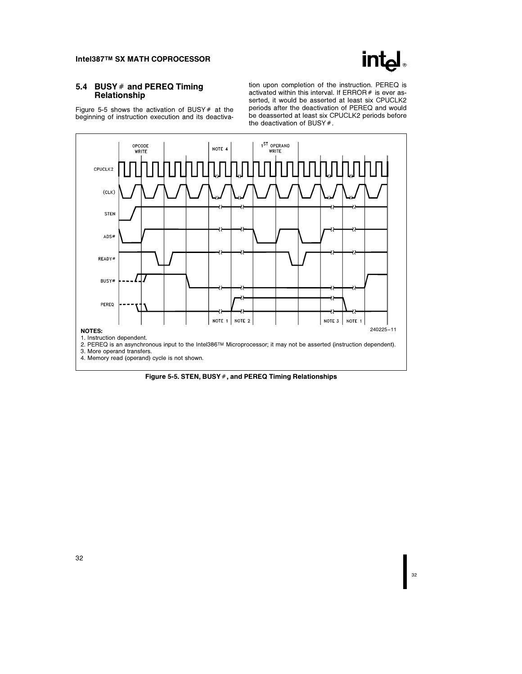

## 5.4 BUSY  $#$  and PEREQ Timing Relationship

Figure 5-5 shows the activation of BUSY  $#$  at the beginning of instruction execution and its deactivation upon completion of the instruction. PEREQ is activated within this interval. If  $ERROR#$  is ever asserted, it would be asserted at least six CPUCLK2 periods after the deactivation of PEREQ and would be deasserted at least six CPUCLK2 periods before the deactivation of BUSY $#$ .



Figure 5-5. STEN, BUSY  $#$ , and PEREQ Timing Relationships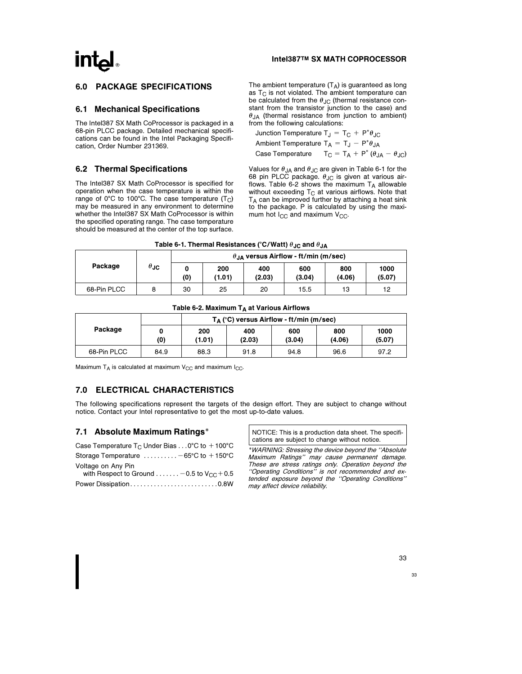## 6.0 PACKAGE SPECIFICATIONS

#### 6.1 Mechanical Specifications

The Intel387 SX Math CoProcessor is packaged in a 68-pin PLCC package. Detailed mechanical specifications can be found in the Intel Packaging Specification, Order Number 231369.

### 6.2 Thermal Specifications

The Intel387 SX Math CoProcessor is specified for operation when the case temperature is within the range of  $0^{\circ}$ C to 100 $^{\circ}$ C. The case temperature (T<sub>C</sub>) may be measured in any environment to determine whether the Intel387 SX Math CoProcessor is within the specified operating range. The case temperature should be measured at the center of the top surface. The ambient temperature  $(T_A)$  is guaranteed as long as  $T_C$  is not violated. The ambient temperature can be calculated from the  $\theta_{\text{JC}}$  (thermal resistance constant from the transistor junction to the case) and  $\theta_{JA}$  (thermal resistance from junction to ambient) from the following calculations:

Junction Temperature  $T_J = T_C + P^* \theta_{JC}$ Ambient Temperature  $T_A = T_J - P^* \theta_{JA}$ Case Temperature  $T_C = T_A + P^* (\theta_{JA} - \theta_{JC})$ 

Values for  $\theta_{JA}$  and  $\theta_{JC}$  are given in Table 6-1 for the 68 pin PLCC package.  $\theta_{\text{JC}}$  is given at various airflows. Table 6-2 shows the maximum  $T_A$  allowable without exceeding  $T<sub>C</sub>$  at various airflows. Note that  $T_A$  can be improved further by attaching a heat sink to the package. P is calculated by using the maximum hot  $I_{CC}$  and maximum  $V_{CC}$ .

| Table 6-1. Thermal Resistances (°C/Watt) $\theta_{\mathsf{JC}}$ and $\theta_{\mathsf{JA}}$ |  |
|--------------------------------------------------------------------------------------------|--|
|--------------------------------------------------------------------------------------------|--|

|             |             | $\theta_{,IA}$ versus Airflow - ft/min (m/sec) |               |               |               |               |                |  |  |
|-------------|-------------|------------------------------------------------|---------------|---------------|---------------|---------------|----------------|--|--|
| Package     | $\theta$ JC | (0)                                            | 200<br>(1.01) | 400<br>(2.03) | 600<br>(3.04) | 800<br>(4.06) | 1000<br>(5.07) |  |  |
| 68-Pin PLCC |             | 30                                             | 25            | 20            | 15.5          | 13            | 12             |  |  |

#### Table 6-2. Maximum  $T_A$  at Various Airflows

|             |      |        |        | $T_A$ (°C) versus Airflow - ft/min (m/sec) |        |        |
|-------------|------|--------|--------|--------------------------------------------|--------|--------|
| Package     |      | 200    | 400    | 600                                        | 800    | 1000   |
|             | (0)  | (1.01) | (2.03) | (3.04)                                     | (4.06) | (5.07) |
| 68-Pin PLCC | 84.9 | 88.3   | 91.8   | 94.8                                       | 96.6   | 97.2   |

Maximum  $T_A$  is calculated at maximum  $V_{CC}$  and maximum  $I_{CC}$ .

## 7.0 ELECTRICAL CHARACTERISTICS

The following specifications represent the targets of the design effort. They are subject to change without notice. Contact your Intel representative to get the most up-to-date values.

#### 7.1 Absolute Maximum Ratings\*

| Case Temperature $T_C$ Under Bias 0°C to $+100$ °C                    |
|-----------------------------------------------------------------------|
| Storage Temperature $\dots\dots\dots -65$ °C to $+150$ °C             |
| Voltage on Any Pin<br>with Respect to Ground  - 0.5 to $V_{CC}$ + 0.5 |
| Power Dissipation0.8W                                                 |

NOTICE: This is a production data sheet. The specifications are subject to change without notice.

\*WARNING: Stressing the device beyond the ''Absolute Maximum Ratings'' may cause permanent damage. These are stress ratings only. Operation beyond the ''Operating Conditions'' is not recommended and extended exposure beyond the ''Operating Conditions'' may affect device reliability.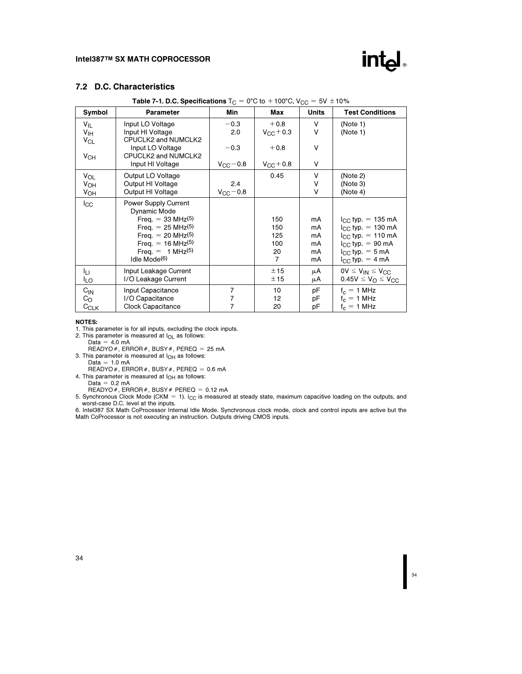

# 7.2 D.C. Characteristics

| Symbol                      | <b>Parameter</b>                                            | Min                  | Max                          | <b>Units</b> | <b>Test Conditions</b>                       |
|-----------------------------|-------------------------------------------------------------|----------------------|------------------------------|--------------|----------------------------------------------|
| $V_{IL}$<br>$V_{\text{IH}}$ | Input LO Voltage<br>Input HI Voltage<br>CPUCLK2 and NUMCLK2 | $-0.3$<br>2.0        | $+0.8$<br>$V_{\rm CC} + 0.3$ | V<br>V       | (Note 1)<br>(Note 1)                         |
| $V_{CL}$<br>V <sub>CH</sub> | Input LO Voltage<br>CPUCLK2 and NUMCLK2                     | $-0.3$               | $+0.8$                       | V            |                                              |
|                             | Input HI Voltage                                            | $V_{\rm CC}$ $-$ 0.8 | $V_{\rm CC} + 0.8$           | ۷            |                                              |
| VOL                         | Output LO Voltage                                           |                      | 0.45                         | V            | (Note 2)                                     |
| V <sub>OH</sub>             | Output HI Voltage                                           | 2.4                  |                              | ۷            | (Note 3)                                     |
| $V_{OH}$                    | Output HI Voltage                                           | $V_{CC}$ - 0.8       |                              | ٧            | (Note 4)                                     |
| $_{\rm lcc}$                | Power Supply Current<br>Dynamic Mode                        |                      |                              |              |                                              |
|                             | Freq. $= 33$ MHz <sup>(5)</sup>                             |                      | 150                          | mA           | $I_{\rm GC}$ typ. = 135 mA                   |
|                             | Freq. $= 25 \text{ MHz}^{(5)}$                              |                      | 150                          | mA           | $I_{CC}$ typ. = 130 mA                       |
|                             | Freq. $= 20$ MHz(5)                                         |                      | 125                          | mA           | $I_{CC}$ typ. = 110 mA                       |
|                             | Freq. $= 16$ MHz(5)                                         |                      | 100                          | mA           | $I_{CC}$ typ. = 90 mA                        |
|                             | Freq. = $1 MHz^{(5)}$<br>Idle Mode <sup>(6)</sup>           |                      | 20<br>$\overline{7}$         | mA<br>mA     | $I_{CC}$ typ. = 5 mA<br>$I_{CC}$ typ. = 4 mA |
| Iц                          | Input Leakage Current                                       |                      | ± 15                         | μA           | $0V \leq V_{IN} \leq V_{CC}$                 |
| ILO                         | I/O Leakage Current                                         |                      | ±15                          | μA           | $0.45V \leq V_{\odot} \leq V_{\rm CC}$       |
| $C_{IN}$                    | Input Capacitance                                           | $\overline{7}$       | 10                           | рF           | $f_c = 1$ MHz                                |
| $C_{\rm O}$                 | I/O Capacitance                                             |                      | 12                           | рF           | $f_c = 1$ MHz                                |
| $C_{CLK}$                   | Clock Capacitance                                           |                      | 20                           | рF           | $f_c = 1$ MHz                                |

Table 7-1. D.C. Specifications  $T_{\text{C}} = 0^{\circ}\text{C}$  to  $+100^{\circ}\text{C}$ ,  $V_{\text{CC}} = 5V \pm 10\%$ 

#### NOTES:

1. This parameter is for all inputs, excluding the clock inputs. 2. This parameter is measured at IOL as follows:

Data = 4.0 mA<br>READYO#, ERROR#, BUSY#, PEREQ = 25 mA

3. This parameter is measured at  $I_{OH}$  as follows:<br>Data = 1.0 mA<br>READYO #, ERROR #, BUSY #, PEREQ = 0.6 mA

4. This parameter is measured at  $I_{OH}$  as follows:<br>Data =  $0.2$  mA

READYO #, ERROR #, BUSY # PEREQ = 0.12 mA<br>5. Synchronous Clock Mode (CKM = 1). I<sub>CC</sub> is measured at steady state, maximum capacitive loading on the outputs, and worst-case D.C. level at the inputs.

6. Intel387 SX Math CoProcessor Internal Idle Mode. Synchronous clock mode, clock and control inputs are active but the Math CoProcessor is not executing an instruction. Outputs driving CMOS inputs.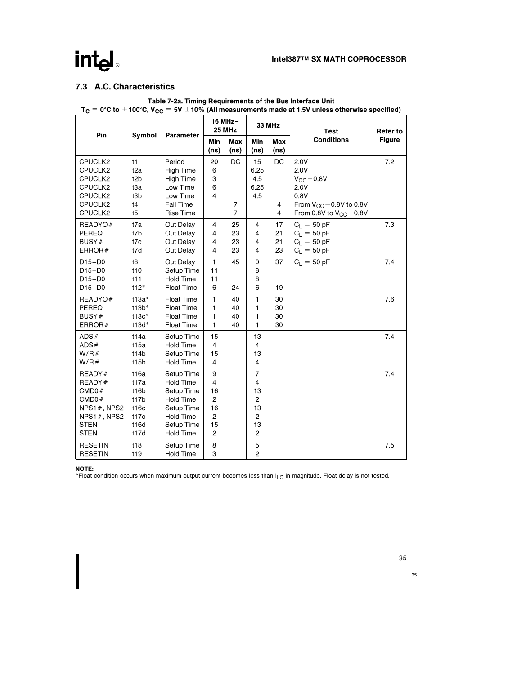# intel

# 7.3 A.C. Characteristics

|                                                                                                    |                                                                     |                                                                                                                                      | 16 MHz-<br><b>25 MHz</b>                                                                    |                                        |                                                                                | <b>33 MHz</b>                             | <b>Test</b>                                                                                                         | <b>Refer to</b> |
|----------------------------------------------------------------------------------------------------|---------------------------------------------------------------------|--------------------------------------------------------------------------------------------------------------------------------------|---------------------------------------------------------------------------------------------|----------------------------------------|--------------------------------------------------------------------------------|-------------------------------------------|---------------------------------------------------------------------------------------------------------------------|-----------------|
| Pin                                                                                                | Symbol                                                              | Parameter                                                                                                                            | Min<br>(ns)                                                                                 | Max<br>(n <sub>s</sub> )               | Min<br>(ns)                                                                    | Max<br>(n <sub>s</sub> )                  | <b>Conditions</b>                                                                                                   | <b>Figure</b>   |
| CPUCLK2<br>CPUCLK2<br>CPUCLK2<br>CPUCLK2<br>CPUCLK2<br>CPUCLK2<br>CPUCLK2                          | t1<br>t <sub>2a</sub><br>t <sub>2</sub> b<br>t3a<br>t3b<br>t4<br>t5 | Period<br><b>High Time</b><br><b>High Time</b><br>Low Time<br>Low Time<br>Fall Time<br><b>Rise Time</b>                              | 20<br>6<br>3<br>6<br>4                                                                      | DC<br>$\overline{7}$<br>$\overline{7}$ | 15<br>6.25<br>4.5<br>6.25<br>4.5                                               | <b>DC</b><br>4<br>$\overline{\mathbf{4}}$ | 2.0V<br>2.0V<br>$V_{\rm GC}$ - 0.8V<br>2.0V<br>0.8V<br>From $V_{CC}$ – 0.8V to 0.8V<br>From 0.8V to $V_{CC}$ - 0.8V | 7.2             |
| READYO#<br>PEREQ<br>BUSY#<br>ERROR $#$                                                             | t7a<br>t7b<br>t7c<br>t7d                                            | Out Delay<br>Out Delay<br>Out Delay<br>Out Delay                                                                                     | $\overline{4}$<br>4<br>4<br>$\overline{\mathbf{4}}$                                         | 25<br>23<br>23<br>23                   | 4<br>$\overline{4}$<br>4<br>$\overline{4}$                                     | 17<br>21<br>21<br>23                      | $C_1 = 50 pF$<br>$C_1 = 50 pF$<br>$C_L = 50 pF$<br>$C_L = 50 pF$                                                    | 7.3             |
| $D15-D0$<br>$D15-D0$<br>$D15-D0$<br>$D15-D0$                                                       | t8<br>t10<br>t11<br>$t12*$                                          | Out Delay<br>Setup Time<br><b>Hold Time</b><br><b>Float Time</b>                                                                     | $\mathbf{1}$<br>11<br>11<br>6                                                               | 45<br>24                               | 0<br>8<br>8<br>6                                                               | 37<br>19                                  | $C_1 = 50 pF$                                                                                                       | 7.4             |
| READYO#<br><b>PEREQ</b><br>BUSY#<br>ERROR $#$                                                      | $t13a*$<br>$t13b*$<br>$t13c*$<br>t13d*                              | <b>Float Time</b><br><b>Float Time</b><br><b>Float Time</b><br><b>Float Time</b>                                                     | 1<br>1<br>1<br>1                                                                            | 40<br>40<br>40<br>40                   | 1<br>1<br>1<br>1                                                               | 30<br>30<br>30<br>30                      |                                                                                                                     | 7.6             |
| ADS#<br>ADS#<br>W/R#<br>W/R#                                                                       | t14a<br>t15a<br>t14b<br>t15b                                        | Setup Time<br><b>Hold Time</b><br>Setup Time<br><b>Hold Time</b>                                                                     | 15<br>$\overline{4}$<br>15<br>4                                                             |                                        | 13<br>$\overline{4}$<br>13<br>$\overline{4}$                                   |                                           |                                                                                                                     | 7.4             |
| READY#<br>READY#<br>CMD0#<br>CMD0#<br>NPS1 $#$ , NPS2<br>NPS1#, NPS2<br><b>STEN</b><br><b>STEN</b> | t16a<br>t17a<br>t16b<br>t17b<br>t16c<br>t17c<br>t16d<br>t17d        | Setup Time<br><b>Hold Time</b><br>Setup Time<br><b>Hold Time</b><br>Setup Time<br><b>Hold Time</b><br>Setup Time<br><b>Hold Time</b> | 9<br>$\overline{4}$<br>16<br>$\overline{2}$<br>16<br>$\overline{2}$<br>15<br>$\overline{2}$ |                                        | $\overline{7}$<br>4<br>13<br>2<br>13<br>$\overline{c}$<br>13<br>$\overline{2}$ |                                           |                                                                                                                     | 7.4             |
| <b>RESETIN</b><br><b>RESETIN</b>                                                                   | t18<br>t19                                                          | Setup Time<br><b>Hold Time</b>                                                                                                       | 8<br>3                                                                                      |                                        | 5<br>$\overline{2}$                                                            |                                           |                                                                                                                     | 7.5             |

Table 7-2a. Timing Requirements of the Bus Interface Unit  $T_c = 0$ °C to  $+100$ °C, V<sub>CC</sub> = 5V  $\pm 10$ % (All measurements made at 1.5V unless otherwise specified)

NOTE:

\*Float condition occurs when maximum output current becomes less than ILO in magnitude. Float delay is not tested.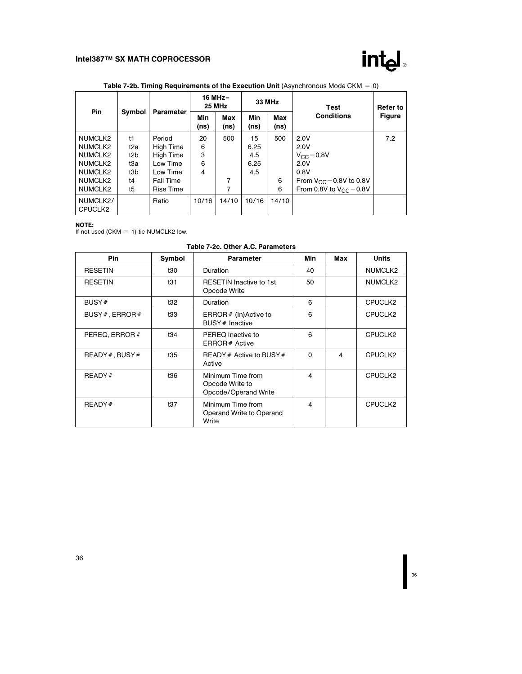

| <b>Pin</b>          |                  | Parameter        | 16 MHz-<br><b>25 MHz</b> |             | 33 MHz                   |             | Test                             | Refer to      |  |
|---------------------|------------------|------------------|--------------------------|-------------|--------------------------|-------------|----------------------------------|---------------|--|
|                     | Symbol           |                  | Min<br>(ns)              | Max<br>(ns) | Min<br>(n <sub>s</sub> ) | Max<br>(ns) | <b>Conditions</b>                | <b>Figure</b> |  |
| NUMCLK2             | t1               | Period           | 20                       | 500         | 15                       | 500         | 2.0V                             | 7.2           |  |
| NUMCLK2             | t2a              | High Time        | 6                        |             | 6.25                     |             | 2.0V                             |               |  |
| NUMCLK2             | t <sub>2</sub> b | High Time        | 3                        |             | 4.5                      |             | $V_{\rm CC}$ - 0.8V              |               |  |
| NUMCLK2             | tЗa              | Low Time         | 6                        |             | 6.25                     |             | 2.0V                             |               |  |
| NUMCLK2             | t3b              | Low Time         | 4                        |             | 4.5                      |             | 0.8V                             |               |  |
| NUMCLK2             | t4               | <b>Fall Time</b> |                          | 7           |                          | 6           | From $V_{\rm CC}$ – 0.8V to 0.8V |               |  |
| NUMCLK2             | t5               | Rise Time        |                          | 7           |                          | 6           | From 0.8V to $V_{CC}$ – 0.8V     |               |  |
| NUMCLK2/<br>CPUCLK2 |                  | Ratio            | 10/16                    | 14/10       | 10/16                    | 14/10       |                                  |               |  |

# Table 7-2b. Timing Requirements of the Execution Unit (Asynchronous Mode CKM  $= 0$ )

**NOTE:**<br>If not used (CKM = 1) tie NUMCLK2 low.

| Table 7-2c. Other A.C. Parameters |  |  |  |  |
|-----------------------------------|--|--|--|--|
|-----------------------------------|--|--|--|--|

| Pin                  | Symbol | <b>Parameter</b>                                             | Min      | Max | <b>Units</b> |
|----------------------|--------|--------------------------------------------------------------|----------|-----|--------------|
| <b>RESETIN</b>       | t30    | Duration                                                     | 40       |     | NUMCLK2      |
| <b>RESETIN</b>       | t31    | <b>RESETIN Inactive to 1st</b><br>Opcode Write               | 50       |     | NUMCLK2      |
| BUSY#                | t32    | Duration                                                     | 6        |     | CPUCLK2      |
| BUSY $#$ , ERROR $#$ | t33    | ERROR $#$ (In) Active to<br>BUSY # Inactive                  | 6        |     | CPUCLK2      |
| PEREQ, ERROR $#$     | t34    | PEREQ Inactive to<br>ERROR# Active                           | 6        |     | CPUCLK2      |
| $READV$ , BUSY #     | t35    | READY # Active to BUSY #<br>Active                           | $\Omega$ | 4   | CPUCLK2      |
| READV#               | t36    | Minimum Time from<br>Opcode Write to<br>Opcode/Operand Write | 4        |     | CPUCLK2      |
| READY#               | t37    | Minimum Time from<br>Operand Write to Operand<br>Write       | 4        |     | CPUCLK2      |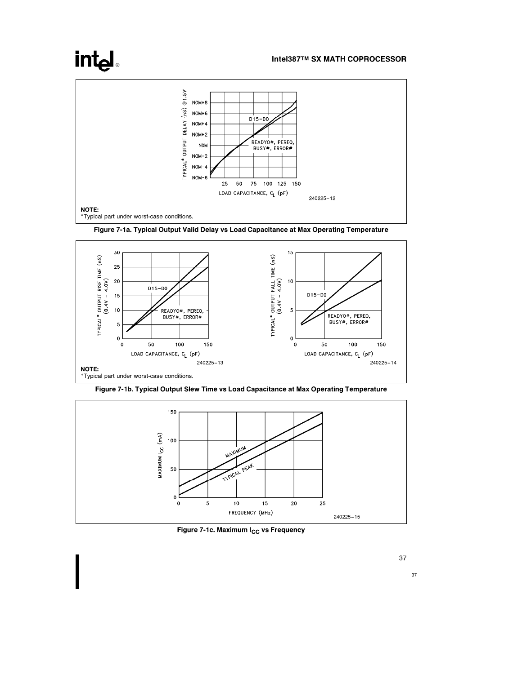# int<sub>el</sub>

# Intel387TM SX MATH COPROCESSOR



Figure 7-1a. Typical Output Valid Delay vs Load Capacitance at Max Operating Temperature



Figure 7-1b. Typical Output Slew Time vs Load Capacitance at Max Operating Temperature



Figure 7-1c. Maximum I<sub>CC</sub> vs Frequency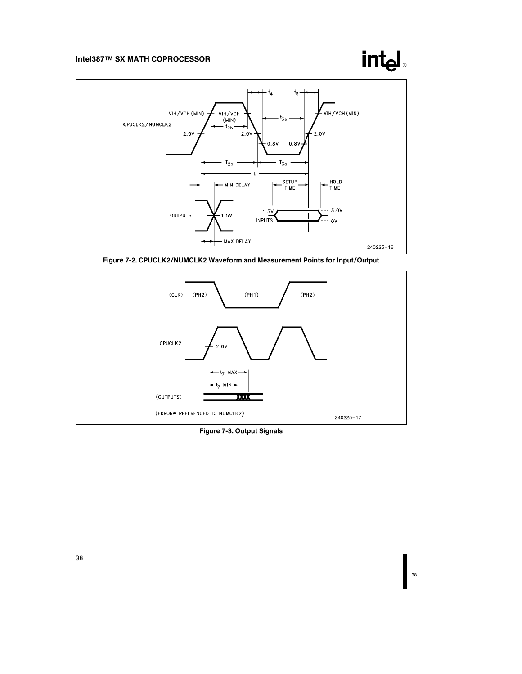# int<sub>el</sub>



Figure 7-2. CPUCLK2/NUMCLK2 Waveform and Measurement Points for Input/Output



Figure 7-3. Output Signals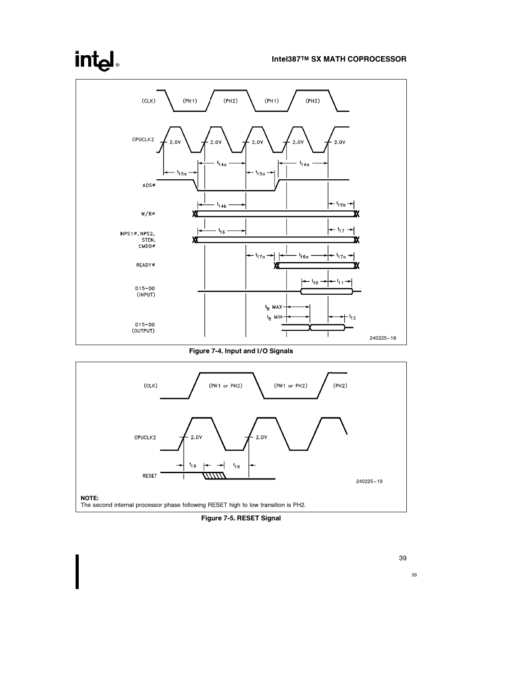# intel

### Intel387TM SX MATH COPROCESSOR



Figure 7-4. Input and I/O Signals



Figure 7-5. RESET Signal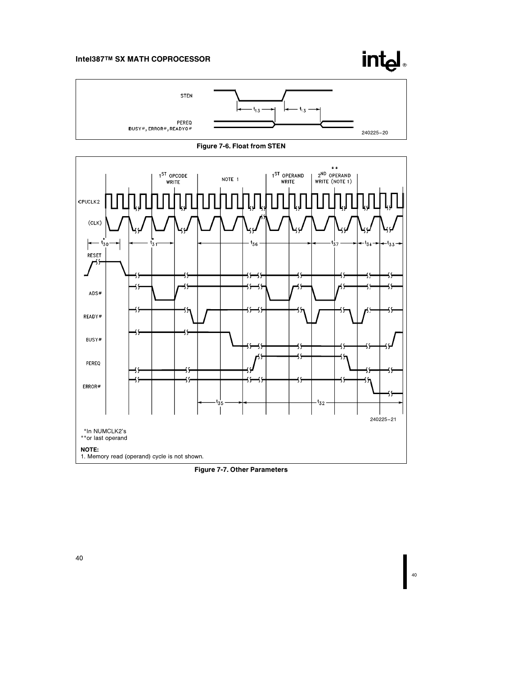





Figure 7-7. Other Parameters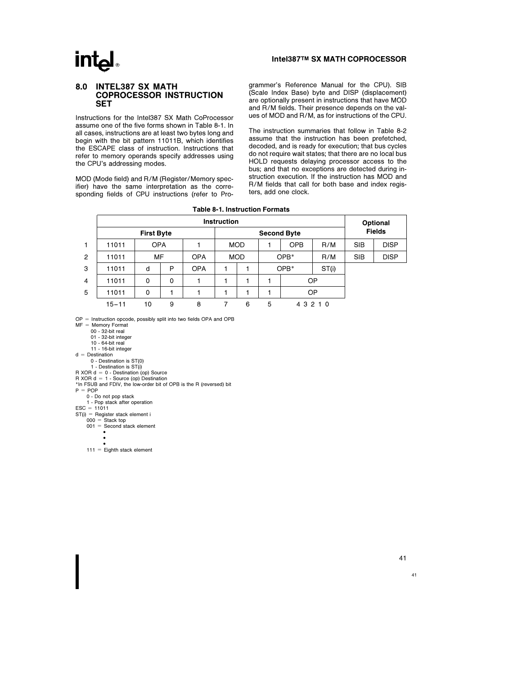# **intel**

#### Intel387TM SX MATH COPROCESSOR

#### 8.0 INTEL387 SX MATH COPROCESSOR INSTRUCTION **SET**

Instructions for the Intel387 SX Math CoProcessor assume one of the five forms shown in Table 8-1. In all cases, instructions are at least two bytes long and begin with the bit pattern 11011B, which identifies the ESCAPE class of instruction. Instructions that refer to memory operands specify addresses using the CPU's addressing modes.

MOD (Mode field) and R/M (Register/Memory specifier) have the same interpretation as the corresponding fields of CPU instructions (refer to Programmer's Reference Manual for the CPU). SIB (Scale Index Base) byte and DISP (displacement) are optionally present in instructions that have MOD and R/M fields. Their presence depends on the values of MOD and R/M, as for instructions of the CPU.

The instruction summaries that follow in Table 8-2 assume that the instruction has been prefetched, decoded, and is ready for execution; that bus cycles do not require wait states; that there are no local bus HOLD requests delaying processor access to the bus; and that no exceptions are detected during instruction execution. If the instruction has MOD and R/M fields that call for both base and index registers, add one clock.

Table 8-1. Instruction Formats

|                |           | Optional          |             |            |            |   |               |        |           |            |             |
|----------------|-----------|-------------------|-------------|------------|------------|---|---------------|--------|-----------|------------|-------------|
|                |           | <b>First Byte</b> |             |            |            |   | <b>Fields</b> |        |           |            |             |
| 1              | 11011     | <b>OPA</b>        |             |            | <b>MOD</b> |   | <b>OPB</b>    |        | R/M       | <b>SIB</b> | <b>DISP</b> |
| $\overline{2}$ | 11011     | MF                |             | <b>OPA</b> | <b>MOD</b> |   | $OPB*$        |        | R/M       | <b>SIB</b> | <b>DISP</b> |
| 3              | 11011     | d                 | P           | <b>OPA</b> |            |   |               | $OPB*$ | ST(i)     |            |             |
| $\overline{4}$ | 11011     | 0                 | $\mathbf 0$ |            |            |   |               |        | <b>OP</b> |            |             |
| 5              | 11011     | 0                 |             |            |            |   | <b>OP</b>     |        |           |            |             |
|                | $15 - 11$ | 10                | 9           | 8          |            | 6 | 5             |        | 4 3 2 1 0 |            |             |

 $OP =$  Instruction opcode, possibly split into two fields OPA and OPB

 $MF =$  Memory Format

00 - 32-bit real 01 - 32-bit integer

10 - 64-bit real

11 - 16-bit integer

 $d =$  Destination

0 - Destination is ST(0)

1 - Destination is ST(i)

R XOR d = 0 - Destination (op) Source<br>R XOR d = 1 - Source (op) Destination<br>\*In FSUB and FDIV, the low-order bit of OPB is the R (reversed) bit

 $P = POP$ 

0 - Do not pop stack 1 - Pop stack after operation

ESC = 11011<br>
ST(i) = Register stack element i<br>
000 = Stack top<br>
001 = Second stack element<br>
•

#

•<br>111 = Eighth stack element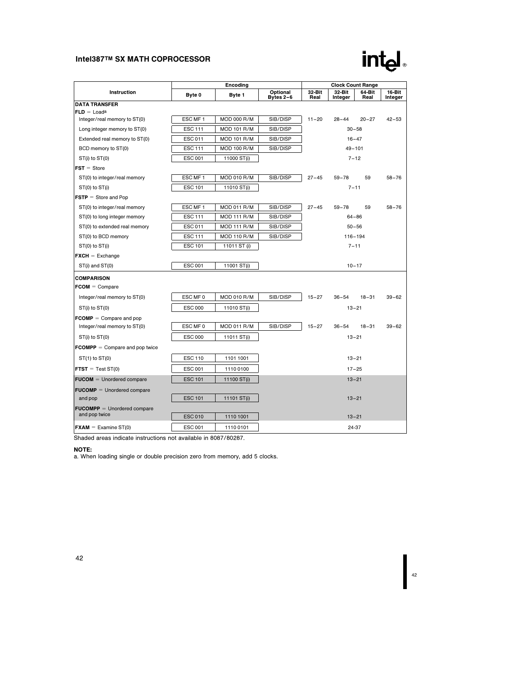42

|                                     |                | Encoding           |                       |                | <b>Clock Count Range</b> |                |                   |
|-------------------------------------|----------------|--------------------|-----------------------|----------------|--------------------------|----------------|-------------------|
| Instruction                         | Byte 0         | Byte 1             | Optional<br>Bytes 2-6 | 32-Bit<br>Real | 32-Bit<br>Integer        | 64-Bit<br>Real | 16-Bit<br>Integer |
| <b>DATA TRANSFER</b>                |                |                    |                       |                |                          |                |                   |
| $FLD = Load^a$                      |                |                    |                       |                |                          |                |                   |
| Integer/real memory to ST(0)        | ESC MF 1       | <b>MOD 000 R/M</b> | SIB/DISP              | $11 - 20$      | $28 - 44$                | $20 - 27$      | $42 - 53$         |
| Long integer memory to ST(0)        | <b>ESC 111</b> | <b>MOD 101 R/M</b> | SIB/DISP              |                |                          | $30 - 58$      |                   |
| Extended real memory to ST(0)       | <b>ESC 011</b> | <b>MOD 101 R/M</b> | SIB/DISP              |                |                          | $16 - 47$      |                   |
| BCD memory to ST(0)                 | <b>ESC 111</b> | <b>MOD 100 R/M</b> | SIB/DISP              |                |                          | $49 - 101$     |                   |
| ST(i) to ST(0)                      | <b>ESC 001</b> | 11000 ST(i)        |                       |                |                          | $7 - 12$       |                   |
| $FST = Store$                       |                |                    |                       |                |                          |                |                   |
| ST(0) to integer/real memory        | ESC MF1        | <b>MOD 010 R/M</b> | SIB/DISP              | $27 - 45$      | $59 - 78$                | 59             | $58 - 76$         |
| ST(0) to ST(i)                      | <b>ESC 101</b> | 11010 ST(i)        |                       |                | $7 - 11$                 |                |                   |
| $FSTP = Store and Pop$              |                |                    |                       |                |                          |                |                   |
| ST(0) to integer/real memory        | ESC MF 1       | <b>MOD 011 R/M</b> | SIB/DISP              | $27 - 45$      | $59 - 78$                | 59             | $58 - 76$         |
| ST(0) to long integer memory        | <b>ESC 111</b> | <b>MOD 111 R/M</b> | SIB/DISP              |                |                          | $64 - 86$      |                   |
| ST(0) to extended real memory       | ESC 011        | <b>MOD 111 R/M</b> | SIB/DISP              |                |                          | $50 - 56$      |                   |
| ST(0) to BCD memory                 | <b>ESC 111</b> | <b>MOD 110 R/M</b> | SIB/DISP              |                | $116 - 194$              |                |                   |
| ST(0) to ST(i)                      | <b>ESC 101</b> | 11011 ST (i)       |                       |                | $7 - 11$                 |                |                   |
| $\mathsf{FXCH} = \mathsf{Exchange}$ |                |                    |                       |                |                          |                |                   |
| $ST(i)$ and $ST(0)$                 | <b>ESC 001</b> | 11001 ST(i)        |                       |                |                          | $10 - 17$      |                   |
| <b>COMPARISON</b>                   |                |                    |                       |                |                          |                |                   |
| $FCOM = Compare$                    |                |                    |                       |                |                          |                |                   |
| Integer/real memory to ST(0)        | ESC MF 0       | <b>MOD 010 R/M</b> | SIB/DISP              | $15 - 27$      | $36 - 54$                | $18 - 31$      | $39 - 62$         |
| ST(i) to ST(0)                      | <b>ESC 000</b> | 11010 ST(i)        |                       |                |                          | $13 - 21$      |                   |
| $FCOMP = Compare and pop$           |                |                    |                       |                |                          |                |                   |
| Integer/real memory to ST(0)        | ESC MF 0       | <b>MOD 011 R/M</b> | SIB/DISP              | $15 - 27$      | $36 - 54$                | $18 - 31$      | $39 - 62$         |
| ST(i) to ST(0)                      | <b>ESC 000</b> | 11011 ST(i)        |                       |                |                          | $13 - 21$      |                   |
| $FCOMPP = Compare and pop twice$    |                |                    |                       |                |                          |                |                   |
| $ST(1)$ to $ST(0)$                  | <b>ESC 110</b> | 1101 1001          |                       |                |                          | $13 - 21$      |                   |
| $FTST = Test ST(0)$                 | <b>ESC 001</b> | 1110 0100          |                       |                |                          | $17 - 25$      |                   |
| $FUCOM = Unordered compare$         | <b>ESC 101</b> | 11100 ST(i)        |                       |                |                          | $13 - 21$      |                   |
| $FUCOMP =$ Unordered compare        |                |                    |                       |                |                          |                |                   |
| and pop                             | <b>ESC 101</b> | 11101 ST(i)        |                       |                |                          | $13 - 21$      |                   |
| $FUCOMP =$ Unordered compare        |                |                    |                       |                |                          |                |                   |
| and pop twice                       | <b>ESC010</b>  | 1110 1001          |                       |                |                          | $13 - 21$      |                   |
| $\mathsf{FXAM} =$ Examine ST(0)     | <b>ESC 001</b> | 1110 0101          |                       |                |                          | 24-37          |                   |

Shaded areas indicate instructions not available in 8087/80287.

NOTE:

a. When loading single or double precision zero from memory, add 5 clocks.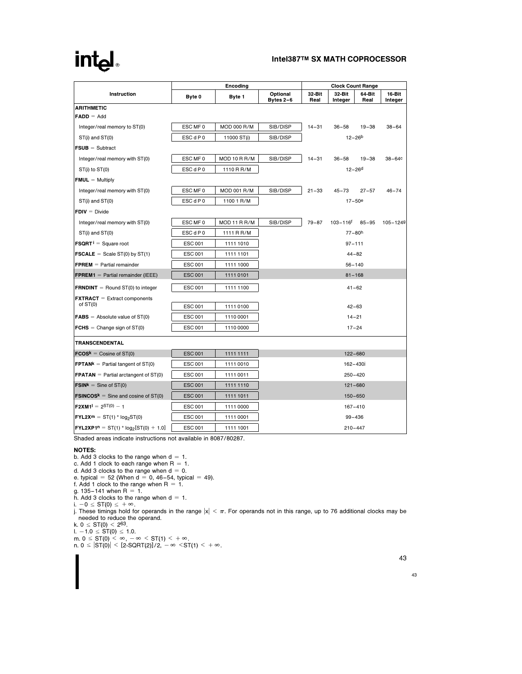# intel

## Intel387TM SX MATH COPROCESSOR

| <b>Instruction</b>                                      | Encoding       |                    |                       | <b>Clock Count Range</b> |                          |                |                   |  |
|---------------------------------------------------------|----------------|--------------------|-----------------------|--------------------------|--------------------------|----------------|-------------------|--|
|                                                         | Byte 0         | Byte 1             | Optional<br>Bytes 2-6 | 32-Bit<br>Real           | 32-Bit<br>Integer        | 64-Bit<br>Real | 16-Bit<br>Integer |  |
| <b>ARITHMETIC</b>                                       |                |                    |                       |                          |                          |                |                   |  |
| $FADD = Add$                                            |                |                    |                       |                          |                          |                |                   |  |
| Integer/real memory to ST(0)                            | ESC MF 0       | MOD 000 R/M        | SIB/DISP              | $14 - 31$                | $36 - 58$                | $19 - 38$      | $38 - 64$         |  |
| ST(i) and ST(0)                                         | ESC d P 0      | 11000 ST(i)        | SIB/DISP              | $12 - 26b$               |                          |                |                   |  |
| $FSUB = Subtract$                                       |                |                    |                       |                          |                          |                |                   |  |
| Integer/real memory with ST(0)                          | ESC MF 0       | MOD 10 R R/M       | SIB/DISP              | $14 - 31$                | $36 - 58$                | $19 - 38$      | $38 - 64c$        |  |
| ST(i) to ST(0)                                          | ESC d P 0      | 1110 R R/M         |                       | $12 - 26$ d              |                          |                |                   |  |
| $FMUL = Multiply$                                       |                |                    |                       |                          |                          |                |                   |  |
| Integer/real memory with ST(0)                          | ESC MF 0       | <b>MOD 001 R/M</b> | SIB/DISP              | $21 - 33$                | $45 - 73$                | $27 - 57$      | $46 - 74$         |  |
| ST(i) and ST(0)                                         | ESC d P 0      | 1100 1 R/M         |                       |                          | $17 - 50e$               |                |                   |  |
| $FDIV = Divide$                                         |                |                    |                       |                          |                          |                |                   |  |
| Integer/real memory with ST(0)                          | ESC MF 0       | MOD 11 R R/M       | SIB/DISP              | $79 - 87$                | $103 - 116$ <sup>f</sup> | $85 - 95$      | 105-1249          |  |
| ST(i) and ST(0)                                         | ESC d P 0      | 1111 R R/M         |                       |                          | $77 - 80h$               |                |                   |  |
| <b>FSQRT</b> $i =$ Square root                          | <b>ESC 001</b> | 1111 1010          |                       | $97 - 111$               |                          |                |                   |  |
| <b>FSCALE</b> = Scale ST(0) by ST(1)                    | <b>ESC 001</b> | 1111 1101          |                       | $44 - 82$                |                          |                |                   |  |
| $FPREM = Partial remainder$                             | <b>ESC 001</b> | 1111 1000          |                       | $56 - 140$               |                          |                |                   |  |
| <b>FPREM1</b> = Partial remainder (IEEE)                | <b>ESC 001</b> | 1111 0101          |                       | $81 - 168$               |                          |                |                   |  |
| <b>FRNDINT</b> = Round $ST(0)$ to integer               | <b>ESC 001</b> | 1111 1100          | $41 - 62$             |                          |                          |                |                   |  |
| $\text{EXT}\text{RACT} =$ Extract components            |                |                    |                       |                          |                          |                |                   |  |
| of $ST(0)$                                              | <b>ESC 001</b> | 1111 0100          | $42 - 63$             |                          |                          |                |                   |  |
| $FABS = Absolute value of ST(0)$                        | <b>ESC 001</b> | 1110 0001          | $14 - 21$             |                          |                          |                |                   |  |
| <b>FCHS</b> = Change sign of $ST(0)$                    | <b>ESC 001</b> | 1110 0000          |                       |                          | $17 - 24$                |                |                   |  |
| <b>TRANSCENDENTAL</b>                                   |                |                    |                       |                          |                          |                |                   |  |
| $FCOSk = Cosine of ST(0)$                               | <b>ESC 001</b> | 1111 1111          |                       |                          | $122 - 680$              |                |                   |  |
| <b>FPTAN<sup>k</sup></b> = Partial tangent of $ST(0)$   | <b>ESC 001</b> | 1111 0010          | 162-430i              |                          |                          |                |                   |  |
| <b>FPATAN</b> = Partial arctangent of $ST(0)$           | <b>ESC 001</b> | 1111 0011          | $250 - 420$           |                          |                          |                |                   |  |
| $FSINk = Sine of ST(0)$                                 | <b>ESC 001</b> | 1111 1110          | $121 - 680$           |                          |                          |                |                   |  |
| <b>FSINCOS<sup>k</sup></b> = Sine and cosine of $ST(0)$ | <b>ESC 001</b> | 1111 1011          | 150-650               |                          |                          |                |                   |  |
| $F2XM1^1 = 2^{ST(0)} - 1$                               | <b>ESC 001</b> | 1111 0000          | $167 - 410$           |                          |                          |                |                   |  |
| $FYL2X^m = ST(1) * log_2ST(0)$                          | <b>ESC 001</b> | 1111 0001          | $99 - 436$            |                          |                          |                |                   |  |
| <b>FYL2XP1n</b> = ST(1) * $log_2ST(0) + 1.0$            | <b>ESC 001</b> | 1111 1001          | $210 - 447$           |                          |                          |                |                   |  |

Shaded areas indicate instructions not available in 8087/80287.

NOTES:

b. Add 3 clocks to the range when  $d = 1$ .<br>c. Add 1 clock to each range when  $R = 1$ .<br>d. Add 3 clocks to the range when  $d = 0$ .<br>e. typical = 52 (When  $d = 0$ , 46–54, typical = 49).

f. Add 1 clock to the range when  $R = 1$ .

g. 135–141 when R = 1.<br>h. Add 3 clocks to the range when d = 1.

i.  $-0 \leq ST(0) \leq +\infty$ .

j. These timings hold for operands in the range  $|x|<\pi.$  For operands not in this range, up to 76 additional clocks may be needed to reduce the operand.<br>k. 0 ≤ ST(0) < 2<sup>63</sup>.<br>l. −1.0 ≤ ST(0) ≤ 1.0.<br>m. 0 ≤ ST(0) < ∞, - ∞ < ST(1) < + ∞.<br>n. 0 ≤ |ST(0)| < [2-SQRT(2)]/2, - ∞ < ST(1) < + ∞.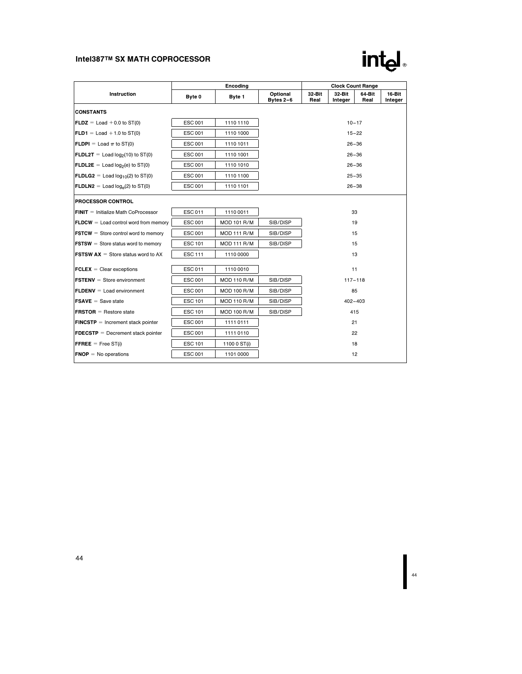# intel

| Instruction                                         |                | <b>Clock Count Range</b> |                         |                |                   |                |                   |  |  |
|-----------------------------------------------------|----------------|--------------------------|-------------------------|----------------|-------------------|----------------|-------------------|--|--|
|                                                     | Byte 0         | Byte 1                   | Optional<br>Bytes $2-6$ | 32-Bit<br>Real | 32-Bit<br>Integer | 64-Bit<br>Real | 16-Bit<br>Integer |  |  |
| <b>CONSTANTS</b>                                    |                |                          |                         |                |                   |                |                   |  |  |
| $FLDZ = Load + 0.0$ to $ST(0)$                      | <b>ESC 001</b> | 1110 1110                |                         | $10 - 17$      |                   |                |                   |  |  |
| $FLD1 = Load + 1.0 to ST(0)$                        | <b>ESC 001</b> | 1110 1000                |                         | $15 - 22$      |                   |                |                   |  |  |
| <b>FLDPI</b> = Load $\pi$ to ST(0)                  | <b>ESC 001</b> | 1110 1011                |                         | $26 - 36$      |                   |                |                   |  |  |
| $FLDL2T =$ Load $log2(10)$ to ST(0)                 | <b>ESC 001</b> | 1110 1001                |                         | $26 - 36$      |                   |                |                   |  |  |
| $FLDL2E =$ Load log <sub>2</sub> (e) to ST(0)       | <b>ESC 001</b> | 1110 1010                |                         | $26 - 36$      |                   |                |                   |  |  |
| FLDLG2 = Load $log_{10}(2)$ to ST(0)                | <b>ESC 001</b> | 1110 1100                | $25 - 35$               |                |                   |                |                   |  |  |
| $FLDLN2 =$ Load log <sub>e</sub> (2) to ST(0)       | <b>ESC 001</b> | 1110 1101                | $26 - 38$               |                |                   |                |                   |  |  |
| PROCESSOR CONTROL                                   |                |                          |                         |                |                   |                |                   |  |  |
| $FINIT =$ Initialize Math CoProcessor               | <b>ESC 011</b> | 1110 0011                |                         | 33             |                   |                |                   |  |  |
| $FLDCW =$ Load control word from memory             | <b>ESC 001</b> | <b>MOD 101 R/M</b>       | SIB/DISP                | 19             |                   |                |                   |  |  |
| $FSTCW =$ Store control word to memory              | <b>ESC 001</b> | <b>MOD 111 R/M</b>       | SIB/DISP                | 15             |                   |                |                   |  |  |
| $FSTSW =$ Store status word to memory               | <b>ESC 101</b> | <b>MOD 111 R/M</b>       | SIB/DISP                | 15             |                   |                |                   |  |  |
| <b>FSTSW AX</b> $=$ Store status word to AX         | <b>ESC 111</b> | 1110 0000                |                         | 13             |                   |                |                   |  |  |
| $\mathsf{FCLEX} = \mathsf{Clear}\xspace$ exceptions | <b>ESC011</b>  | 1110 0010                |                         | 11             |                   |                |                   |  |  |
| $FSTENV = Store environment$                        | <b>ESC 001</b> | <b>MOD 110 R/M</b>       | SIB/DISP                | $117 - 118$    |                   |                |                   |  |  |
| $FLDENV =$ Load environment                         | <b>ESC 001</b> | <b>MOD 100 R/M</b>       | SIB/DISP                | 85             |                   |                |                   |  |  |
| $FSAVE = Save state$                                | <b>ESC 101</b> | <b>MOD 110 R/M</b>       | SIB/DISP                | $402 - 403$    |                   |                |                   |  |  |
| <b>FRSTOR</b> = Restore state                       | <b>ESC 101</b> | <b>MOD 100 R/M</b>       | SIB/DISP                | 415            |                   |                |                   |  |  |
| $FINCSTP = Increment stack pointer$                 | <b>ESC 001</b> | 1111 0111                | 21                      |                |                   |                |                   |  |  |
| $FDECSTP = Decrement stack pointer$                 | <b>ESC 001</b> | 1111 0110                | 22                      |                |                   |                |                   |  |  |
| $FFREE = Free ST(i)$                                | <b>ESC 101</b> | 1100 0 ST(i)             | 18                      |                |                   |                |                   |  |  |
| $FNOP = No$ operations                              | <b>ESC 001</b> | 1101 0000                | 12                      |                |                   |                |                   |  |  |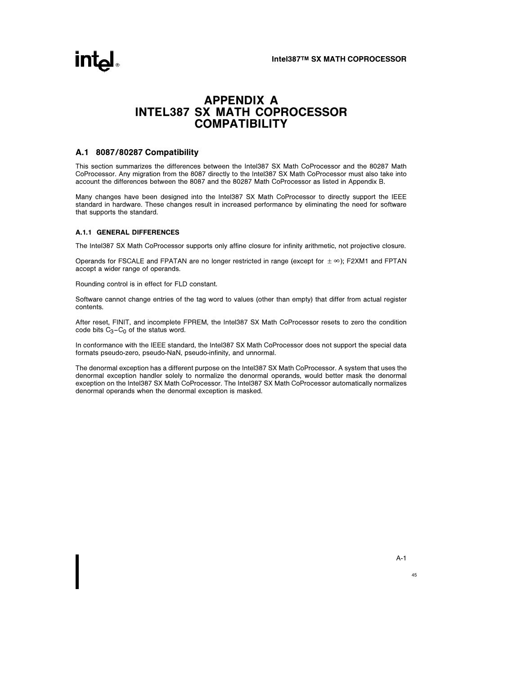# APPENDIX A INTEL387 SX MATH COPROCESSOR **COMPATIBILITY**

### A.1 8087/80287 Compatibility

This section summarizes the differences between the Intel387 SX Math CoProcessor and the 80287 Math CoProcessor. Any migration from the 8087 directly to the Intel387 SX Math CoProcessor must also take into account the differences between the 8087 and the 80287 Math CoProcessor as listed in Appendix B.

Many changes have been designed into the Intel387 SX Math CoProcessor to directly support the IEEE standard in hardware. These changes result in increased performance by eliminating the need for software that supports the standard.

#### A.1.1 GENERAL DIFFERENCES

The Intel387 SX Math CoProcessor supports only affine closure for infinity arithmetic, not projective closure.

Operands for FSCALE and FPATAN are no longer restricted in range (except for  $\pm \infty$ ); F2XM1 and FPTAN accept a wider range of operands.

Rounding control is in effect for FLD constant.

Software cannot change entries of the tag word to values (other than empty) that differ from actual register contents.

After reset, FINIT, and incomplete FPREM, the Intel387 SX Math CoProcessor resets to zero the condition code bits  $C_3 - C_0$  of the status word.

In conformance with the IEEE standard, the Intel387 SX Math CoProcessor does not support the special data formats pseudo-zero, pseudo-NaN, pseudo-infinity, and unnormal.

The denormal exception has a different purpose on the Intel387 SX Math CoProcessor. A system that uses the denormal exception handler solely to normalize the denormal operands, would better mask the denormal exception on the Intel387 SX Math CoProcessor. The Intel387 SX Math CoProcessor automatically normalizes denormal operands when the denormal exception is masked.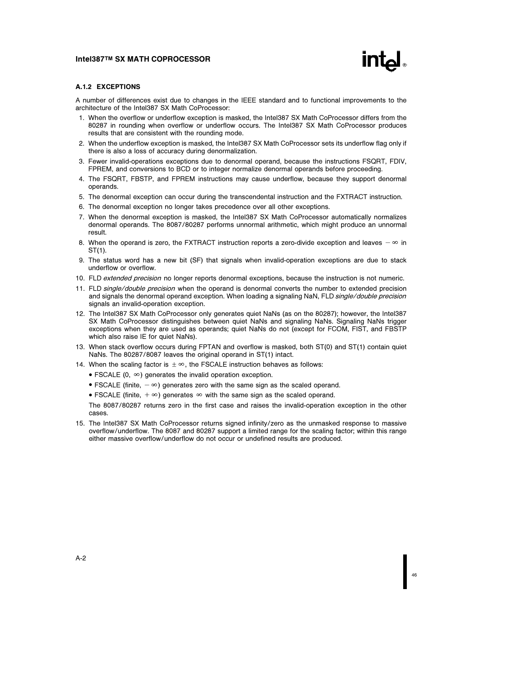

#### A.1.2 EXCEPTIONS

A number of differences exist due to changes in the IEEE standard and to functional improvements to the architecture of the Intel387 SX Math CoProcessor:

- 1. When the overflow or underflow exception is masked, the Intel387 SX Math CoProcessor differs from the 80287 in rounding when overflow or underflow occurs. The Intel387 SX Math CoProcessor produces results that are consistent with the rounding mode.
- 2. When the underflow exception is masked, the Intel387 SX Math CoProcessor sets its underflow flag only if there is also a loss of accuracy during denormalization.
- 3. Fewer invalid-operations exceptions due to denormal operand, because the instructions FSQRT, FDIV, FPREM, and conversions to BCD or to integer normalize denormal operands before proceeding.
- 4. The FSQRT, FBSTP, and FPREM instructions may cause underflow, because they support denormal operands.
- 5. The denormal exception can occur during the transcendental instruction and the FXTRACT instruction.
- 6. The denormal exception no longer takes precedence over all other exceptions.
- 7. When the denormal exception is masked, the Intel387 SX Math CoProcessor automatically normalizes denormal operands. The 8087/80287 performs unnormal arithmetic, which might produce an unnormal result.
- 8. When the operand is zero, the FXTRACT instruction reports a zero-divide exception and leaves  $-\infty$  in ST(1).
- 9. The status word has a new bit (SF) that signals when invalid-operation exceptions are due to stack underflow or overflow.
- 10. FLD extended precision no longer reports denormal exceptions, because the instruction is not numeric.
- 11. FLD single/double precision when the operand is denormal converts the number to extended precision and signals the denormal operand exception. When loading a signaling NaN, FLD single/double precision signals an invalid-operation exception.
- 12. The Intel387 SX Math CoProcessor only generates quiet NaNs (as on the 80287); however, the Intel387 SX Math CoProcessor distinguishes between quiet NaNs and signaling NaNs. Signaling NaNs trigger exceptions when they are used as operands; quiet NaNs do not (except for FCOM, FIST, and FBSTP which also raise IE for quiet NaNs).
- 13. When stack overflow occurs during FPTAN and overflow is masked, both ST(0) and ST(1) contain quiet NaNs. The 80287/8087 leaves the original operand in ST(1) intact.
- 14. When the scaling factor is  $\pm \infty$ , the FSCALE instruction behaves as follows:
	- $\bullet$  FSCALE (0,  $\infty$ ) generates the invalid operation exception.
	- FSCALE (finite,  $-\infty$ ) generates zero with the same sign as the scaled operand.
	- FSCALE (finite,  $+\infty$ ) generates  $\infty$  with the same sign as the scaled operand.

The 8087/80287 returns zero in the first case and raises the invalid-operation exception in the other cases.

15. The Intel387 SX Math CoProcessor returns signed infinity/zero as the unmasked response to massive overflow/underflow. The 8087 and 80287 support a limited range for the scaling factor; within this range either massive overflow/underflow do not occur or undefined results are produced.